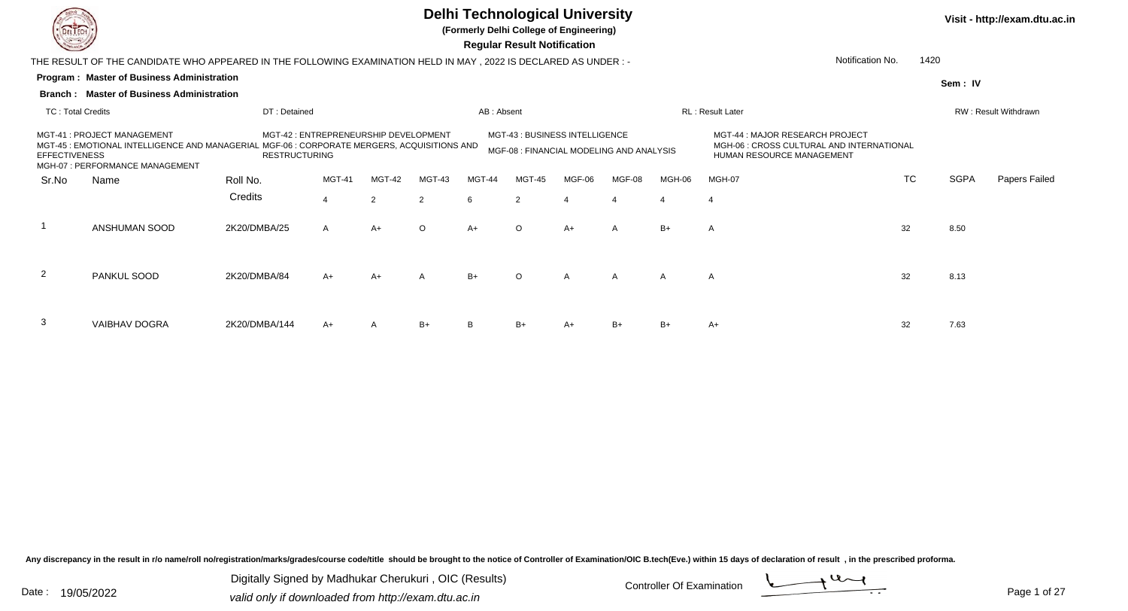

3

VAIBHAV DOGRA

### **Delhi Technological University**

**(Formerly Delhi College of Engineering)**

**Visit - http://exam.dtu.ac.in**

**Program : Master of Business Administration Regular Result NotificationSem : IVBranch : Master of Business Administration**THE RESULT OF THE CANDIDATE WHO APPEARED IN THE FOLLOWING EXAMINATION HELD IN MAY , 2022 IS DECLARED AS UNDER : -TC : Total Credits DT : Detainedd AB : Absent RL : Result Later RW : Result Withdrawn Notification No. 1420Sr.NoName Roll No. **Credits** MGT-41 : PROJECT MANAGEMENT MGT-42 : ENTREPRENEURSHIP DEVELOPMENT MGT-43 : BUSINESS INTELLIGENCEMGT-44 : MAJOR RESEARCH PROJECT<br>MGH-06 : CROSS CULTURAL AND INTERNATIONAL MGT-45 : EMOTIONAL INTELLIGENCE AND MANAGERIAL MGF-06 : CORPORATE MERGERS, ACQUISITIONS AND **EFFECTIVENESS**  MGH-07 : PERFORMANCE MANAGEMENTRESTRUCTURINGMGF-08 : FINANCIAL MODELING AND ANALYSIS HUMAN RESOURCE MANAGEMENT MGT-41 MGT-42 MGT-43 MGT-44 MGT-45 MGF-06 MGF-08 MGH-06 MGH-07 TCTC SGPA Papers Failed 44 2 2 6 2 4 4 4 4 1 ANSHUMAN SOOD 2K20/DMBA/25 <sup>A</sup> A+ <sup>O</sup> A+ <sup>O</sup> A+ <sup>A</sup> B+ <sup>A</sup> <sup>32</sup> 8.50 2 PANKUL SOODD 2K20/DMBA/84 A+ A+ A B+ O A A A A A 32 8.13

A 2K20/DMBA/144 A+ A B+ B B+ A+ B+ B+ A+ B+ A+ 32 7.63

Any discrepancy in the result in r/o name/roll no/registration/marks/grades/course code/title should be brought to the notice of Controller of Examination/OIC B.tech(Eve.) within 15 days of declaration of result , in the p

Digitally Signed by Madhukar Cherukuri , OIC (Results)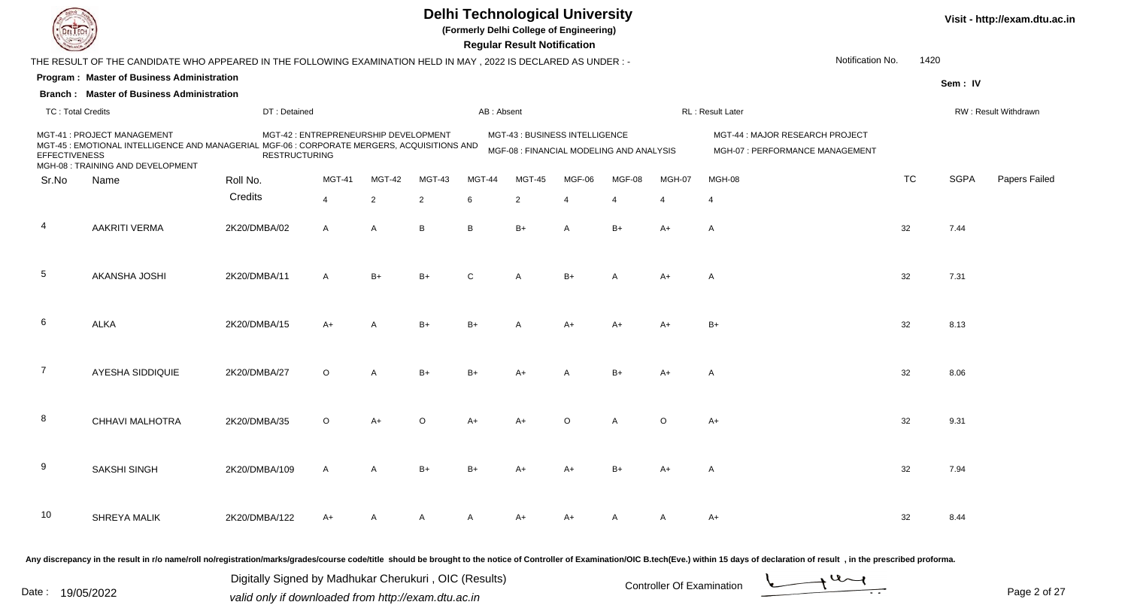

**(Formerly Delhi College of Engineering)**

**Visit - http://exam.dtu.ac.in**

 **Regular Result Notification**

|                          | THE RESULT OF THE CANDIDATE WHO APPEARED IN THE FOLLOWING EXAMINATION HELD IN MAY, 2022 IS DECLARED AS UNDER :-                                                 |                                                       |                                       |                |                |            |                |                                                                            |                          |                           | Notification No.                                                                                                                                                                                                                               | 1420      |             |                      |
|--------------------------|-----------------------------------------------------------------------------------------------------------------------------------------------------------------|-------------------------------------------------------|---------------------------------------|----------------|----------------|------------|----------------|----------------------------------------------------------------------------|--------------------------|---------------------------|------------------------------------------------------------------------------------------------------------------------------------------------------------------------------------------------------------------------------------------------|-----------|-------------|----------------------|
|                          | Program: Master of Business Administration                                                                                                                      |                                                       |                                       |                |                |            |                |                                                                            |                          |                           |                                                                                                                                                                                                                                                |           | Sem: IV     |                      |
|                          | <b>Branch: Master of Business Administration</b>                                                                                                                |                                                       |                                       |                |                |            |                |                                                                            |                          |                           |                                                                                                                                                                                                                                                |           |             |                      |
| <b>TC: Total Credits</b> |                                                                                                                                                                 | DT: Detained                                          |                                       |                |                | AB: Absent |                |                                                                            |                          |                           | RL : Result Later                                                                                                                                                                                                                              |           |             | RW: Result Withdrawn |
| <b>EFFECTIVENESS</b>     | MGT-41 : PROJECT MANAGEMENT<br>MGT-45 : EMOTIONAL INTELLIGENCE AND MANAGERIAL MGF-06 : CORPORATE MERGERS, ACQUISITIONS AND<br>MGH-08 : TRAINING AND DEVELOPMENT | <b>RESTRUCTURING</b>                                  | MGT-42 : ENTREPRENEURSHIP DEVELOPMENT |                |                |            |                | MGT-43 : BUSINESS INTELLIGENCE<br>MGF-08 : FINANCIAL MODELING AND ANALYSIS |                          |                           | MGT-44 : MAJOR RESEARCH PROJECT<br>MGH-07 : PERFORMANCE MANAGEMENT                                                                                                                                                                             |           |             |                      |
| Sr.No                    | Name                                                                                                                                                            | Roll No.                                              | <b>MGT-41</b>                         | MGT-42         | MGT-43         | MGT-44     | MGT-45         | MGF-06                                                                     | MGF-08                   | MGH-07                    | MGH-08                                                                                                                                                                                                                                         | <b>TC</b> | <b>SGPA</b> | Papers Failed        |
|                          |                                                                                                                                                                 | Credits                                               | $\overline{4}$                        | $\overline{2}$ | $\overline{2}$ | 6          | 2              | $\overline{4}$                                                             | $\overline{\mathcal{A}}$ | $\overline{4}$            | $\overline{4}$                                                                                                                                                                                                                                 |           |             |                      |
| -4                       | <b>AAKRITI VERMA</b>                                                                                                                                            | 2K20/DMBA/02                                          | $\mathsf{A}$                          | $\overline{A}$ | B              | B          | $B+$           | A                                                                          | $B+$                     | $A+$                      | A                                                                                                                                                                                                                                              | 32        | 7.44        |                      |
| 5                        | AKANSHA JOSHI                                                                                                                                                   | 2K20/DMBA/11                                          | $\overline{A}$                        | $B+$           | $B+$           | C          | $\overline{A}$ | $B+$                                                                       | $\overline{A}$           | $A+$                      | A                                                                                                                                                                                                                                              | 32        | 7.31        |                      |
| 6                        | <b>ALKA</b>                                                                                                                                                     | 2K20/DMBA/15                                          | $A+$                                  |                | $B+$           | $B+$       | $\overline{A}$ | $A+$                                                                       | $A+$                     | $A+$                      | $B+$                                                                                                                                                                                                                                           | 32        | 8.13        |                      |
| $\overline{7}$           | <b>AYESHA SIDDIQUIE</b>                                                                                                                                         | 2K20/DMBA/27                                          | $\circ$                               | $\overline{A}$ | $B+$           | $B+$       | A+             |                                                                            | $B+$                     | $A+$                      | A                                                                                                                                                                                                                                              | 32        | 8.06        |                      |
| 8                        | CHHAVI MALHOTRA                                                                                                                                                 | 2K20/DMBA/35                                          | $\circ$                               | $A+$           | $\circ$        | $A+$       | $A+$           | $\circ$                                                                    | $\overline{A}$           | $\circ$                   | $A+$                                                                                                                                                                                                                                           | 32        | 9.31        |                      |
| 9                        | <b>SAKSHI SINGH</b>                                                                                                                                             | 2K20/DMBA/109                                         | $\overline{A}$                        | $\overline{A}$ | $B+$           | $B+$       | A+             | A+                                                                         | $B+$                     | A+                        | A                                                                                                                                                                                                                                              | 32        | 7.94        |                      |
| 10                       | SHREYA MALIK                                                                                                                                                    | 2K20/DMBA/122                                         | A+                                    | A              | A              | A          | A+             | A+                                                                         | A                        | A                         | A+                                                                                                                                                                                                                                             | 32        | 8.44        |                      |
|                          |                                                                                                                                                                 | Digitally Signed by Madhukar Cherukuri, OIC (Results) |                                       |                |                |            |                |                                                                            |                          | Controller Of Examination | Any discrepancy in the result in r/o name/roll no/registration/marks/grades/course code/title should be brought to the notice of Controller of Examination/OIC B.tech(Eve.) within 15 days of declaration of result, in the pr<br>$u_{\sim l}$ |           |             |                      |
|                          |                                                                                                                                                                 |                                                       |                                       |                |                |            |                |                                                                            |                          |                           |                                                                                                                                                                                                                                                |           |             |                      |

Date : 19/05/2022 Valid only if downloaded from http://exam.dtu.ac.in<br>
Date : 19/05/2022 valid only if downloaded from http://exam.dtu.ac.in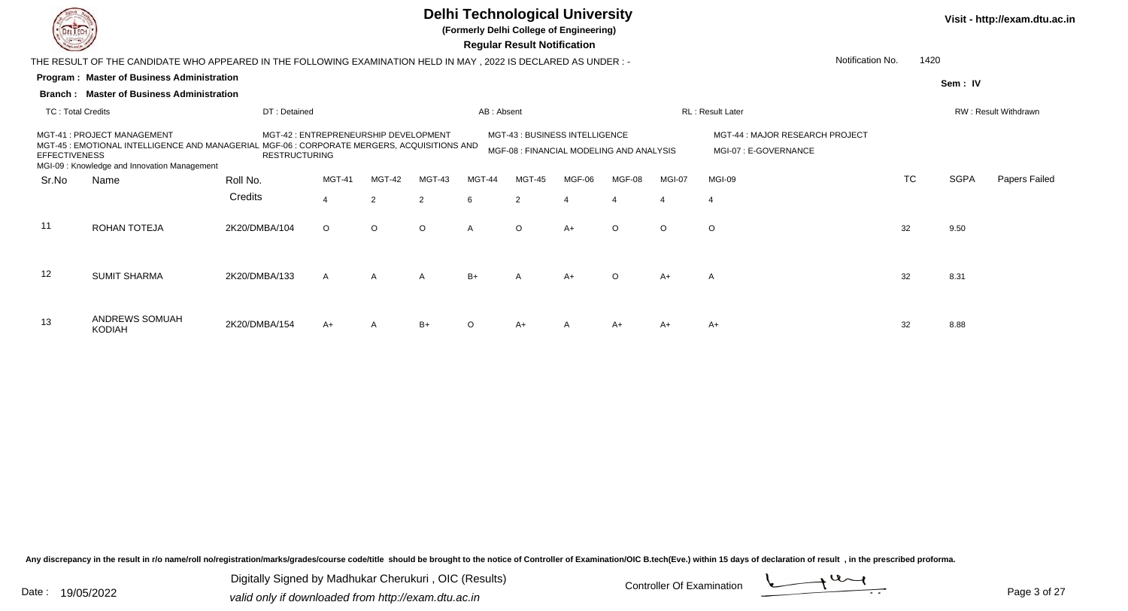

**(Formerly Delhi College of Engineering)**

 **Regular Result Notification**

|                          | THE RESULT OF THE CANDIDATE WHO APPEARED IN THE FOLLOWING EXAMINATION HELD IN MAY , 2022 IS DECLARED AS UNDER :-                                                          |                                                               |              |               |              |            |                                                                            |        |                |         |                                                         | Notification No. | 1420 |             |                             |
|--------------------------|---------------------------------------------------------------------------------------------------------------------------------------------------------------------------|---------------------------------------------------------------|--------------|---------------|--------------|------------|----------------------------------------------------------------------------|--------|----------------|---------|---------------------------------------------------------|------------------|------|-------------|-----------------------------|
|                          | <b>Program: Master of Business Administration</b>                                                                                                                         |                                                               |              |               |              |            |                                                                            |        |                |         |                                                         |                  |      | Sem: IV     |                             |
|                          | <b>Branch: Master of Business Administration</b>                                                                                                                          |                                                               |              |               |              |            |                                                                            |        |                |         |                                                         |                  |      |             |                             |
| <b>TC: Total Credits</b> |                                                                                                                                                                           | DT: Detained                                                  |              |               |              | AB: Absent |                                                                            |        |                |         | RL: Result Later                                        |                  |      |             | <b>RW: Result Withdrawn</b> |
| <b>EFFECTIVENESS</b>     | MGT-41 : PROJECT MANAGEMENT<br>MGT-45 : EMOTIONAL INTELLIGENCE AND MANAGERIAL MGF-06 : CORPORATE MERGERS, ACQUISITIONS AND<br>MGI-09: Knowledge and Innovation Management | MGT-42 : ENTREPRENEURSHIP DEVELOPMENT<br><b>RESTRUCTURING</b> |              |               |              |            | MGT-43 : BUSINESS INTELLIGENCE<br>MGF-08 : FINANCIAL MODELING AND ANALYSIS |        |                |         | MGT-44 : MAJOR RESEARCH PROJECT<br>MGI-07: E-GOVERNANCE |                  |      |             |                             |
| Sr.No                    | Name                                                                                                                                                                      | Roll No.                                                      | MGT-41       | MGT-42        | MGT-43       | MGT-44     | MGT-45                                                                     | MGF-06 | MGF-08         | MGI-07  | MGI-09                                                  |                  | TC   | <b>SGPA</b> | Papers Failed               |
|                          |                                                                                                                                                                           | Credits                                                       | 4            | $\mathcal{P}$ | 2            | 6          | 2                                                                          |        | $\overline{4}$ |         | $\overline{4}$                                          |                  |      |             |                             |
| 11                       | ROHAN TOTEJA                                                                                                                                                              | 2K20/DMBA/104                                                 | $\circ$      | $\circ$       | $\circ$      |            | $\circ$                                                                    | $A+$   | $\circ$        | $\circ$ | $\circ$                                                 | 32               |      | 9.50        |                             |
| 12                       | <b>SUMIT SHARMA</b>                                                                                                                                                       | 2K20/DMBA/133                                                 | $\mathsf{A}$ | A             | $\mathsf{A}$ | $B+$       | $\mathsf{A}$                                                               | $A+$   | $\circ$        | $A+$    | $\mathsf{A}$                                            | 32               |      | 8.31        |                             |
| 13                       | ANDREWS SOMUAH<br><b>KODIAH</b>                                                                                                                                           | 2K20/DMBA/154                                                 | $A+$         | A             | $B+$         | $\Omega$   | $A+$                                                                       |        | $A+$           | $A+$    | A+                                                      | 32               |      | 8.88        |                             |

Any discrepancy in the result in r/o name/roll no/registration/marks/grades/course code/title should be brought to the notice of Controller of Examination/OIC B.tech(Eve.) within 15 days of declaration of result, in the pr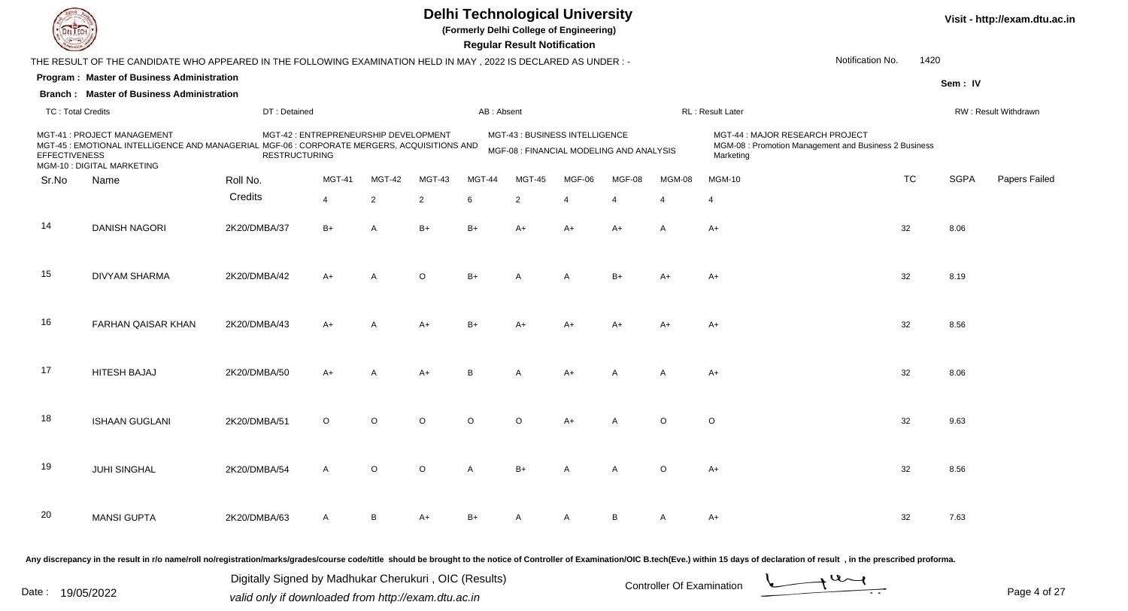

**(Formerly Delhi College of Engineering)**

 **Regular Result Notification**

| $\overline{\phantom{0}}$ |                                                                                                                                                                                                                                |                      |                                       |                |                |         | <b>Regular Result Notification</b>                                         |                |                       |                       |                                                                                                       |                          |             |                      |
|--------------------------|--------------------------------------------------------------------------------------------------------------------------------------------------------------------------------------------------------------------------------|----------------------|---------------------------------------|----------------|----------------|---------|----------------------------------------------------------------------------|----------------|-----------------------|-----------------------|-------------------------------------------------------------------------------------------------------|--------------------------|-------------|----------------------|
|                          | THE RESULT OF THE CANDIDATE WHO APPEARED IN THE FOLLOWING EXAMINATION HELD IN MAY, 2022 IS DECLARED AS UNDER:-                                                                                                                 |                      |                                       |                |                |         |                                                                            |                |                       |                       |                                                                                                       | Notification No.<br>1420 |             |                      |
|                          | Program: Master of Business Administration                                                                                                                                                                                     |                      |                                       |                |                |         |                                                                            |                |                       |                       |                                                                                                       |                          | Sem: IV     |                      |
|                          | <b>Branch: Master of Business Administration</b>                                                                                                                                                                               |                      |                                       |                |                |         |                                                                            |                |                       |                       |                                                                                                       |                          |             |                      |
| <b>TC: Total Credits</b> |                                                                                                                                                                                                                                | DT: Detained         |                                       |                |                |         | AB: Absent                                                                 |                |                       |                       | RL : Result Later                                                                                     |                          |             | RW: Result Withdrawn |
| <b>EFFECTIVENESS</b>     | MGT-41 : PROJECT MANAGEMENT<br>MGT-45 : EMOTIONAL INTELLIGENCE AND MANAGERIAL MGF-06 : CORPORATE MERGERS, ACQUISITIONS AND<br>MGM-10 : DIGITAL MARKETING                                                                       | <b>RESTRUCTURING</b> | MGT-42 : ENTREPRENEURSHIP DEVELOPMENT |                |                |         | MGT-43 : BUSINESS INTELLIGENCE<br>MGF-08 : FINANCIAL MODELING AND ANALYSIS |                |                       |                       | MGT-44 : MAJOR RESEARCH PROJECT<br>MGM-08 : Promotion Management and Business 2 Business<br>Marketing |                          |             |                      |
| Sr.No                    | Name                                                                                                                                                                                                                           | Roll No.             | <b>MGT-41</b>                         | MGT-42         | MGT-43         | MGT-44  | <b>MGT-45</b>                                                              | MGF-06         | MGF-08                | MGM-08                | <b>MGM-10</b>                                                                                         | <b>TC</b>                | <b>SGPA</b> | Papers Failec        |
|                          |                                                                                                                                                                                                                                | Credits              | $\overline{4}$                        | $\overline{2}$ | $\overline{2}$ | 6       | 2                                                                          | $\overline{4}$ | $\boldsymbol{\Delta}$ | $\boldsymbol{\Delta}$ | 4                                                                                                     |                          |             |                      |
| 14                       | <b>DANISH NAGORI</b>                                                                                                                                                                                                           | 2K20/DMBA/37         | $B+$                                  | $\overline{A}$ | $B+$           | $B+$    | A+                                                                         | $A+$           | A+                    | Α                     | A+                                                                                                    | 32                       | 8.06        |                      |
| 15                       | <b>DIVYAM SHARMA</b>                                                                                                                                                                                                           | 2K20/DMBA/42         | A+                                    | $\overline{A}$ | $\circ$        | $B+$    | A                                                                          | A              | $B+$                  | $A+$                  | $A+$                                                                                                  | 32                       | 8.19        |                      |
| 16                       | FARHAN QAISAR KHAN                                                                                                                                                                                                             | 2K20/DMBA/43         | $A+$                                  |                | $A+$           | $B+$    |                                                                            |                |                       | $A+$                  | $A+$                                                                                                  | 32                       | 8.56        |                      |
| 17                       | <b>HITESH BAJAJ</b>                                                                                                                                                                                                            | 2K20/DMBA/50         | $A+$                                  | A              | $A+$           | B       | A                                                                          | $A+$           | A                     | A                     | A+                                                                                                    | 32                       | 8.06        |                      |
| 18                       | <b>ISHAAN GUGLANI</b>                                                                                                                                                                                                          | 2K20/DMBA/51         | $\circ$                               | $\circ$        | $\circ$        | $\circ$ | $\circ$                                                                    | $A+$           | $\overline{A}$        | $\circ$               | $\circ$                                                                                               | 32                       | 9.63        |                      |
| 19                       | JUHI SINGHAL                                                                                                                                                                                                                   | 2K20/DMBA/54         | $\overline{A}$                        | $\Omega$       | $\Omega$       | A       | B+                                                                         |                | $\overline{A}$        | O                     | $A+$                                                                                                  | 32                       | 8.56        |                      |
| 20                       | <b>MANSI GUPTA</b>                                                                                                                                                                                                             | 2K20/DMBA/63         | $\overline{A}$                        | B              | $A+$           | $B+$    |                                                                            | А              | B                     | A                     | $A+$                                                                                                  | 32                       | 7.63        |                      |
|                          | Any discrepancy in the result in r/o name/roll no/registration/marks/grades/course code/title should be brought to the notice of Controller of Examination/OIC B.tech(Eve.) within 15 days of declaration of result , in the p |                      |                                       |                |                |         |                                                                            |                |                       |                       |                                                                                                       |                          |             |                      |

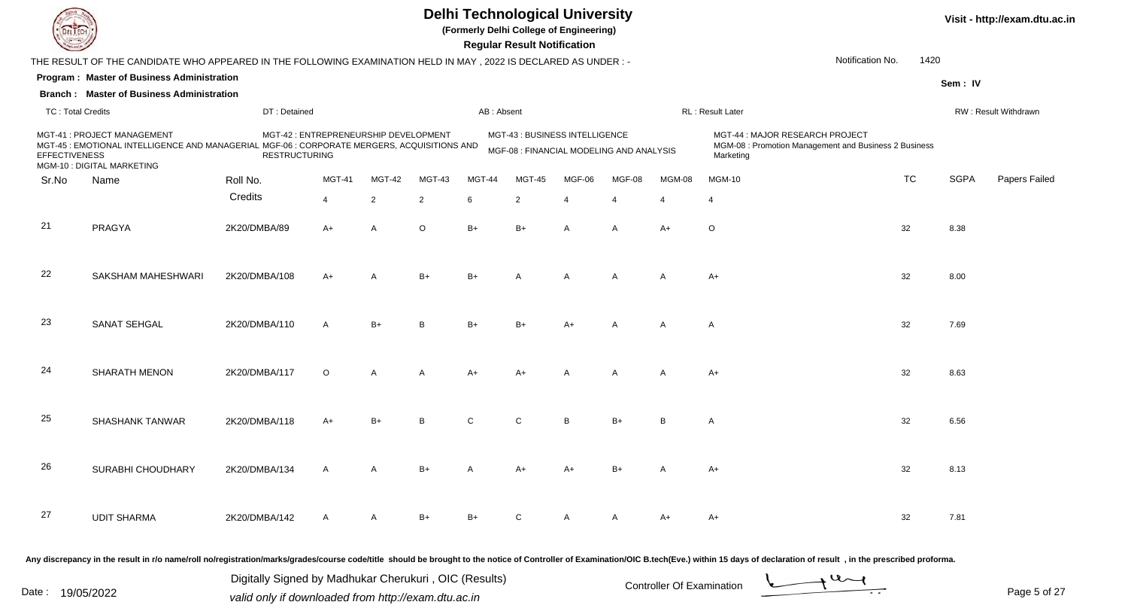

**(Formerly Delhi College of Engineering)**

**Visit - http://exam.dtu.ac.in**

 **Regular Result Notification**

| <b>Course Legal Comment</b>                                                       |                                                                                                                 |                      |                                       |                |                |              | Regular Result Notification                                                |                |                |                |                                                                                                                                                                                                                                |                          |             |                      |
|-----------------------------------------------------------------------------------|-----------------------------------------------------------------------------------------------------------------|----------------------|---------------------------------------|----------------|----------------|--------------|----------------------------------------------------------------------------|----------------|----------------|----------------|--------------------------------------------------------------------------------------------------------------------------------------------------------------------------------------------------------------------------------|--------------------------|-------------|----------------------|
|                                                                                   | THE RESULT OF THE CANDIDATE WHO APPEARED IN THE FOLLOWING EXAMINATION HELD IN MAY, 2022 IS DECLARED AS UNDER :- |                      |                                       |                |                |              |                                                                            |                |                |                |                                                                                                                                                                                                                                | 1420<br>Notification No. |             |                      |
|                                                                                   | Program: Master of Business Administration                                                                      |                      |                                       |                |                |              |                                                                            |                |                |                |                                                                                                                                                                                                                                |                          | Sem: IV     |                      |
|                                                                                   | <b>Branch: Master of Business Administration</b>                                                                |                      |                                       |                |                |              |                                                                            |                |                |                |                                                                                                                                                                                                                                |                          |             |                      |
| <b>TC: Total Credits</b>                                                          |                                                                                                                 | DT: Detained         |                                       |                |                |              | AB: Absent                                                                 |                |                |                | RL: Result Later                                                                                                                                                                                                               |                          |             | RW: Result Withdrawn |
| MGT-41 : PROJECT MANAGEMENT<br><b>EFFECTIVENESS</b><br>MGM-10 : DIGITAL MARKETING | MGT-45 : EMOTIONAL INTELLIGENCE AND MANAGERIAL MGF-06 : CORPORATE MERGERS, ACQUISITIONS AND                     | <b>RESTRUCTURING</b> | MGT-42 : ENTREPRENEURSHIP DEVELOPMENT |                |                |              | MGT-43 : BUSINESS INTELLIGENCE<br>MGF-08 : FINANCIAL MODELING AND ANALYSIS |                |                |                | MGT-44: MAJOR RESEARCH PROJECT<br>MGM-08 : Promotion Management and Business 2 Business<br>Marketing                                                                                                                           |                          |             |                      |
| Sr.No<br>Name                                                                     |                                                                                                                 | Roll No.             | <b>MGT-41</b>                         | MGT-42         | MGT-43         | MGT-44       | <b>MGT-45</b>                                                              | MGF-06         | MGF-08         | MGM-08         | <b>MGM-10</b>                                                                                                                                                                                                                  | <b>TC</b>                | <b>SGPA</b> | Papers Failec        |
|                                                                                   |                                                                                                                 | Credits              | $\overline{4}$                        | $\overline{2}$ | $\overline{c}$ | 6            | 2                                                                          | $\overline{4}$ | $\overline{4}$ | $\overline{4}$ | $\overline{4}$                                                                                                                                                                                                                 |                          |             |                      |
| 21<br>PRAGYA                                                                      |                                                                                                                 | 2K20/DMBA/89         | $A+$                                  | $\overline{A}$ | $\circ$        | $B+$         | $B+$                                                                       | A              | A              | $A+$           | $\circ$                                                                                                                                                                                                                        | 32                       | 8.38        |                      |
| 22                                                                                | SAKSHAM MAHESHWARI                                                                                              | 2K20/DMBA/108        | A+                                    | $\overline{A}$ | $B+$           | $B+$         | A                                                                          | $\mathsf{A}$   | A              | A              | $A+$                                                                                                                                                                                                                           | 32                       | 8.00        |                      |
| 23                                                                                | <b>SANAT SEHGAL</b>                                                                                             | 2K20/DMBA/110        | $\overline{A}$                        | $B+$           | B              | $B+$         | B+                                                                         | $A+$           | A              | A              | A                                                                                                                                                                                                                              | 32                       | 7.69        |                      |
| 24                                                                                | <b>SHARATH MENON</b>                                                                                            | 2K20/DMBA/117        | $\circ$                               | $\overline{A}$ | $\overline{A}$ | $A+$         | A+                                                                         | A              | A              | Α              | $A+$                                                                                                                                                                                                                           | 32                       | 8.63        |                      |
| 25                                                                                | <b>SHASHANK TANWAR</b>                                                                                          | 2K20/DMBA/118        | A+                                    | $B+$           | B              | $\mathsf{C}$ | C                                                                          | <sub>B</sub>   | $B+$           | B              | A                                                                                                                                                                                                                              | 32                       | 6.56        |                      |
| 26                                                                                | SURABHI CHOUDHARY                                                                                               | 2K20/DMBA/134        | $\overline{A}$                        | $\overline{A}$ | $B+$           | A            | A+                                                                         | $A+$           | $B+$           | Α              | $A+$                                                                                                                                                                                                                           | 32                       | 8.13        |                      |
| 27                                                                                | <b>UDIT SHARMA</b>                                                                                              | 2K20/DMBA/142        | $\mathsf{A}$                          | A              | $B+$           | $B+$         | C                                                                          |                |                | $A+$           | $A+$                                                                                                                                                                                                                           | 32                       | 7.81        |                      |
|                                                                                   |                                                                                                                 |                      |                                       |                |                |              |                                                                            |                |                |                | Any discrepancy in the result in r/o name/roll no/registration/marks/grades/course code/title should be brought to the notice of Controller of Examination/OIC B.tech(Eve.) within 15 days of declaration of result , in the p |                          |             |                      |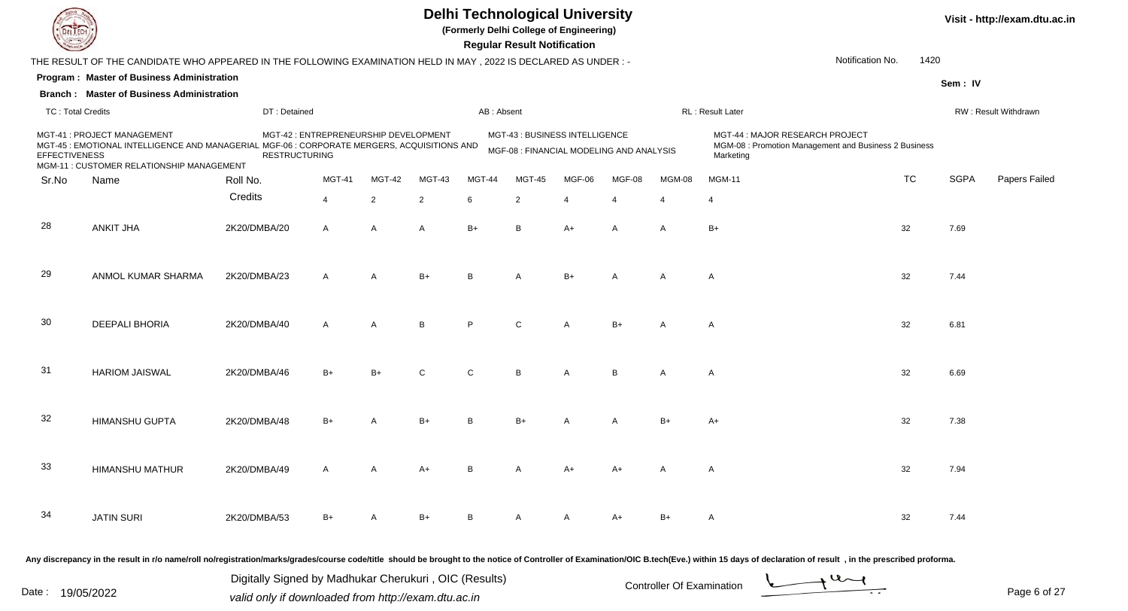

**(Formerly Delhi College of Engineering)**

**Visit - http://exam.dtu.ac.in**

 **Regular Result Notification**

| $\sim$                   |                                                                                                                                                                         |                                                       |                                       |                |              |              | Regular Result Notification                                                |                |                         |                |                                              |                                                                                                                                                                                                                                                                 |             |                      |
|--------------------------|-------------------------------------------------------------------------------------------------------------------------------------------------------------------------|-------------------------------------------------------|---------------------------------------|----------------|--------------|--------------|----------------------------------------------------------------------------|----------------|-------------------------|----------------|----------------------------------------------|-----------------------------------------------------------------------------------------------------------------------------------------------------------------------------------------------------------------------------------------------------------------|-------------|----------------------|
|                          | THE RESULT OF THE CANDIDATE WHO APPEARED IN THE FOLLOWING EXAMINATION HELD IN MAY, 2022 IS DECLARED AS UNDER :-                                                         |                                                       |                                       |                |              |              |                                                                            |                |                         |                |                                              | 1420<br>Notification No.                                                                                                                                                                                                                                        |             |                      |
|                          | Program: Master of Business Administration                                                                                                                              |                                                       |                                       |                |              |              |                                                                            |                |                         |                |                                              |                                                                                                                                                                                                                                                                 | Sem: IV     |                      |
|                          | <b>Branch: Master of Business Administration</b>                                                                                                                        |                                                       |                                       |                |              |              |                                                                            |                |                         |                |                                              |                                                                                                                                                                                                                                                                 |             |                      |
| <b>TC: Total Credits</b> |                                                                                                                                                                         | DT: Detained                                          |                                       |                |              | AB: Absent   |                                                                            |                |                         |                | RL : Result Later                            |                                                                                                                                                                                                                                                                 |             | RW: Result Withdrawn |
| <b>EFFECTIVENESS</b>     | MGT-41 : PROJECT MANAGEMENT<br>MGT-45 : EMOTIONAL INTELLIGENCE AND MANAGERIAL MGF-06 : CORPORATE MERGERS, ACQUISITIONS AND<br>MGM-11 : CUSTOMER RELATIONSHIP MANAGEMENT | <b>RESTRUCTURING</b>                                  | MGT-42 : ENTREPRENEURSHIP DEVELOPMENT |                |              |              | MGT-43 : BUSINESS INTELLIGENCE<br>MGF-08 : FINANCIAL MODELING AND ANALYSIS |                |                         |                | MGT-44 : MAJOR RESEARCH PROJECT<br>Marketing | MGM-08 : Promotion Management and Business 2 Business                                                                                                                                                                                                           |             |                      |
| Sr.No                    | Name                                                                                                                                                                    | Roll No.                                              | <b>MGT-41</b>                         | MGT-42         | MGT-43       | MGT-44       | <b>MGT-45</b>                                                              | MGF-06         | MGF-08                  | MGM-08         | <b>MGM-11</b>                                | <b>TC</b>                                                                                                                                                                                                                                                       | <b>SGPA</b> | Papers Failec        |
|                          |                                                                                                                                                                         | Credits                                               | $\overline{4}$                        | $\overline{2}$ | 2            | 6            | $\overline{2}$                                                             | $\overline{4}$ | $\overline{\mathbf{4}}$ | $\overline{4}$ | $\overline{4}$                               |                                                                                                                                                                                                                                                                 |             |                      |
| 28                       | <b>ANKIT JHA</b>                                                                                                                                                        | 2K20/DMBA/20                                          | $\mathsf{A}$                          | $\mathsf{A}$   | $\mathsf{A}$ | $B+$         | B                                                                          | $A+$           | A                       | A              | $B+$                                         | 32                                                                                                                                                                                                                                                              | 7.69        |                      |
| 29                       | ANMOL KUMAR SHARMA                                                                                                                                                      | 2K20/DMBA/23                                          | $\mathsf{A}$                          | $\overline{A}$ | $B+$         | B            | A                                                                          | $B+$           | A                       | A              | A                                            | 32                                                                                                                                                                                                                                                              | 7.44        |                      |
| 30                       | <b>DEEPALI BHORIA</b>                                                                                                                                                   | 2K20/DMBA/40                                          | $\overline{A}$                        | $\overline{A}$ | B            | P            | C                                                                          |                | $B+$                    | A              | $\mathsf{A}$                                 | 32                                                                                                                                                                                                                                                              | 6.81        |                      |
| 31                       | <b>HARIOM JAISWAL</b>                                                                                                                                                   | 2K20/DMBA/46                                          | B+                                    |                |              | $\mathsf{C}$ | B                                                                          |                | B.                      | A              | A                                            | 32                                                                                                                                                                                                                                                              | 6.69        |                      |
| 32                       | <b>HIMANSHU GUPTA</b>                                                                                                                                                   | 2K20/DMBA/48                                          | $B+$                                  |                | $B+$         | B            | B+                                                                         |                | A                       | $B+$           | A+                                           | 32                                                                                                                                                                                                                                                              | 7.38        |                      |
| 33                       | <b>HIMANSHU MATHUR</b>                                                                                                                                                  | 2K20/DMBA/49                                          | A                                     |                | $A+$         | B.           |                                                                            | A+             |                         | A              | A                                            | 32                                                                                                                                                                                                                                                              | 7.94        |                      |
| 34                       | <b>JATIN SURI</b>                                                                                                                                                       | 2K20/DMBA/53                                          | B+                                    |                | B+           | В            |                                                                            |                | A+                      | B+             | A                                            | 32                                                                                                                                                                                                                                                              | 7.44        |                      |
|                          |                                                                                                                                                                         | Digitally Signed by Madhukar Cherukuri, OIC (Results) |                                       |                |              |              |                                                                            |                |                         |                |                                              | Any discrepancy in the result in r/o name/roll no/registration/marks/grades/course code/title should be brought to the notice of Controller of Examination/OIC B.tech(Eve.) within 15 days of declaration of result , in the p<br>$\rightarrow$ 4 $\rightarrow$ |             |                      |

Date : 19/05/2022 Valid only if downloaded from http://exam.dtu.ac.in<br>
Date : 19/05/2022 valid only if downloaded from http://exam.dtu.ac.in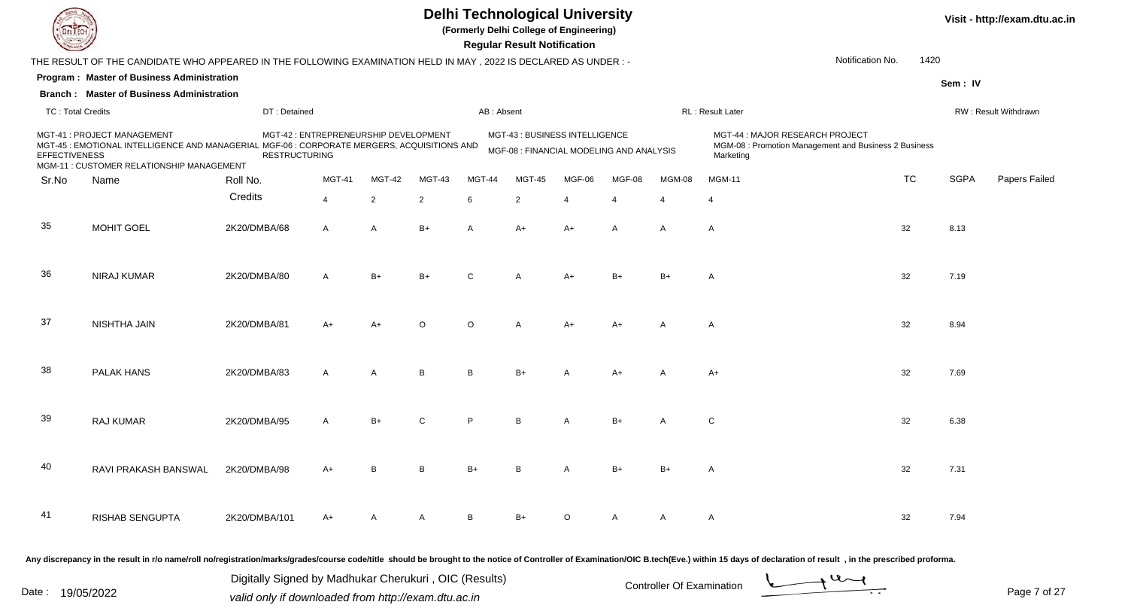

**(Formerly Delhi College of Engineering)**

**Visit - http://exam.dtu.ac.in**

 **Regular Result Notification**

| <b>Course Lines</b>      |                                                                                                                                                                         |                      |                                       |                |                |            | Regular Result Notification                                                |                       |        |                       |                                                                                                                                                                                                                                |           |             |                      |
|--------------------------|-------------------------------------------------------------------------------------------------------------------------------------------------------------------------|----------------------|---------------------------------------|----------------|----------------|------------|----------------------------------------------------------------------------|-----------------------|--------|-----------------------|--------------------------------------------------------------------------------------------------------------------------------------------------------------------------------------------------------------------------------|-----------|-------------|----------------------|
|                          | THE RESULT OF THE CANDIDATE WHO APPEARED IN THE FOLLOWING EXAMINATION HELD IN MAY, 2022 IS DECLARED AS UNDER:-                                                          |                      |                                       |                |                |            |                                                                            |                       |        |                       | Notification No.                                                                                                                                                                                                               | 1420      |             |                      |
|                          | Program: Master of Business Administration                                                                                                                              |                      |                                       |                |                |            |                                                                            |                       |        |                       |                                                                                                                                                                                                                                |           | Sem: IV     |                      |
|                          | <b>Branch: Master of Business Administration</b>                                                                                                                        |                      |                                       |                |                |            |                                                                            |                       |        |                       |                                                                                                                                                                                                                                |           |             |                      |
| <b>TC: Total Credits</b> |                                                                                                                                                                         | DT: Detained         |                                       |                |                | AB: Absent |                                                                            |                       |        |                       | RL: Result Later                                                                                                                                                                                                               |           |             | RW: Result Withdrawn |
| <b>EFFECTIVENESS</b>     | MGT-41 : PROJECT MANAGEMENT<br>MGT-45 : EMOTIONAL INTELLIGENCE AND MANAGERIAL MGF-06 : CORPORATE MERGERS, ACQUISITIONS AND<br>MGM-11 : CUSTOMER RELATIONSHIP MANAGEMENT | <b>RESTRUCTURING</b> | MGT-42 : ENTREPRENEURSHIP DEVELOPMENT |                |                |            | MGT-43 : BUSINESS INTELLIGENCE<br>MGF-08 : FINANCIAL MODELING AND ANALYSIS |                       |        |                       | MGT-44 : MAJOR RESEARCH PROJECT<br>MGM-08 : Promotion Management and Business 2 Business<br>Marketing                                                                                                                          |           |             |                      |
| Sr.No                    | Name                                                                                                                                                                    | Roll No.             | <b>MGT-41</b>                         | MGT-42         | <b>MGT-43</b>  | MGT-44     | <b>MGT-45</b>                                                              | MGF-06                | MGF-08 | MGM-08                | <b>MGM-11</b>                                                                                                                                                                                                                  | <b>TC</b> | <b>SGPA</b> | Papers Failec        |
|                          |                                                                                                                                                                         | Credits              | $\overline{4}$                        | $\overline{2}$ | $\overline{2}$ | 6          | $\overline{2}$                                                             | $\boldsymbol{\Delta}$ | 4      | $\boldsymbol{\Delta}$ | 4                                                                                                                                                                                                                              |           |             |                      |
| 35                       | <b>MOHIT GOEL</b>                                                                                                                                                       | 2K20/DMBA/68         | $\mathsf{A}$                          | $\overline{A}$ | $B+$           | A          | A+                                                                         | $A+$                  | Α      | A                     | A                                                                                                                                                                                                                              | 32        | 8.13        |                      |
| 36                       | <b>NIRAJ KUMAR</b>                                                                                                                                                      | 2K20/DMBA/80         | $\overline{A}$                        | $B+$           | $B+$           | $\Omega$   | A                                                                          | $A+$                  | $B+$   | $B+$                  | A                                                                                                                                                                                                                              | 32        | 7.19        |                      |
| 37                       | NISHTHA JAIN                                                                                                                                                            | 2K20/DMBA/81         | $A+$                                  | $A+$           | $\cap$         | $\circ$    | A                                                                          | $A+$                  | $A+$   | A                     | A                                                                                                                                                                                                                              | 32        | 8.94        |                      |
| 38                       | PALAK HANS                                                                                                                                                              | 2K20/DMBA/83         | $\mathsf{A}$                          | $\overline{A}$ | B              | B          | $B+$                                                                       | A                     | $A+$   | Α                     | $A+$                                                                                                                                                                                                                           | 32        | 7.69        |                      |
| 39                       | <b>RAJ KUMAR</b>                                                                                                                                                        | 2K20/DMBA/95         | $\mathsf{A}$                          | $B+$           | $\mathsf{C}$   | P          | R                                                                          | А                     | $B+$   | A                     | C                                                                                                                                                                                                                              | 32        | 6.38        |                      |
| 40                       | RAVI PRAKASH BANSWAL                                                                                                                                                    | 2K20/DMBA/98         | $A+$                                  | в              | B              | $B+$       |                                                                            |                       | $B+$   | $B+$                  | A                                                                                                                                                                                                                              | 32        | 7.31        |                      |
| 41                       | <b>RISHAB SENGUPTA</b>                                                                                                                                                  | 2K20/DMBA/101        | A+                                    |                | $\overline{A}$ | B          | $B+$                                                                       | $\circ$               | A      | A                     | $\mathsf{A}$                                                                                                                                                                                                                   | 32        | 7.94        |                      |
|                          |                                                                                                                                                                         |                      |                                       |                |                |            |                                                                            |                       |        |                       | Any discrepancy in the result in r/o name/roll no/registration/marks/grades/course code/title should be brought to the notice of Controller of Examination/OIC B.tech(Eve.) within 15 days of declaration of result , in the p |           |             |                      |

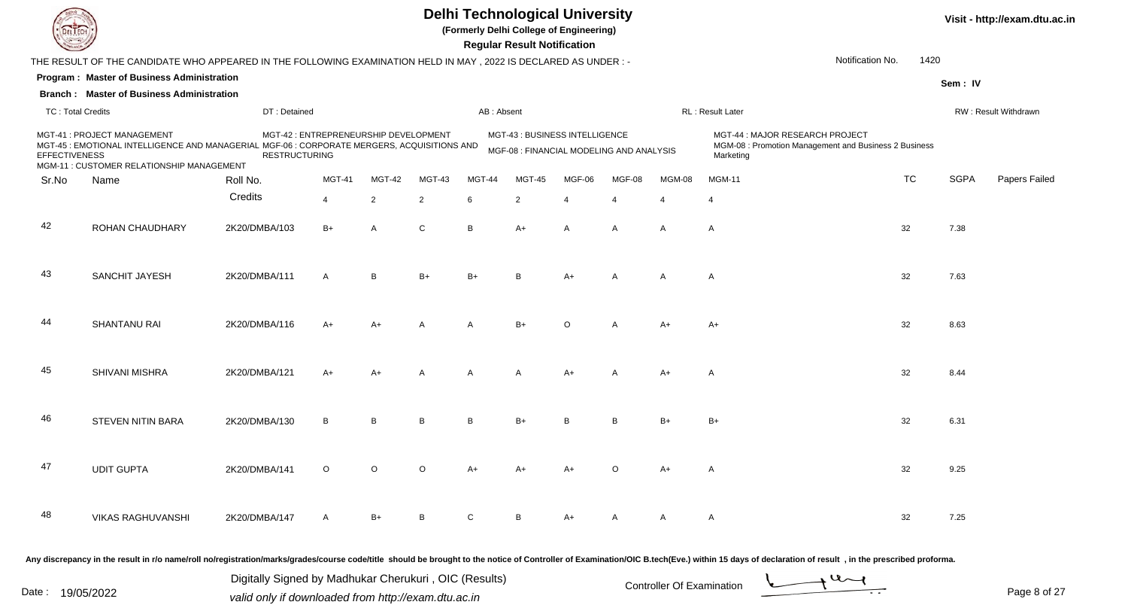

**(Formerly Delhi College of Engineering)**

**Visit - http://exam.dtu.ac.in**

 **Regular Result Notification**

| $\sim$            |                                                                                                             |                                                                                                                                                                         |                                                             |                     |                                                              |                                                                                                       |                         |                                                                            |                                                                                                                                                                               |                                                                           |                               |                                                                                 |                         |
|-------------------|-------------------------------------------------------------------------------------------------------------|-------------------------------------------------------------------------------------------------------------------------------------------------------------------------|-------------------------------------------------------------|---------------------|--------------------------------------------------------------|-------------------------------------------------------------------------------------------------------|-------------------------|----------------------------------------------------------------------------|-------------------------------------------------------------------------------------------------------------------------------------------------------------------------------|---------------------------------------------------------------------------|-------------------------------|---------------------------------------------------------------------------------|-------------------------|
|                   |                                                                                                             |                                                                                                                                                                         |                                                             |                     |                                                              |                                                                                                       |                         |                                                                            |                                                                                                                                                                               |                                                                           |                               |                                                                                 |                         |
|                   |                                                                                                             |                                                                                                                                                                         |                                                             |                     |                                                              |                                                                                                       |                         |                                                                            |                                                                                                                                                                               |                                                                           |                               |                                                                                 |                         |
|                   |                                                                                                             |                                                                                                                                                                         |                                                             |                     |                                                              |                                                                                                       |                         |                                                                            |                                                                                                                                                                               |                                                                           |                               |                                                                                 |                         |
|                   |                                                                                                             |                                                                                                                                                                         |                                                             |                     |                                                              |                                                                                                       |                         |                                                                            |                                                                                                                                                                               |                                                                           |                               |                                                                                 | RW: Result Withdrawn    |
|                   |                                                                                                             |                                                                                                                                                                         |                                                             |                     |                                                              |                                                                                                       |                         |                                                                            |                                                                                                                                                                               | MGT-44 : MAJOR RESEARCH PROJECT<br>Marketing                              |                               |                                                                                 |                         |
| Name              | Roll No.                                                                                                    | <b>MGT-41</b>                                                                                                                                                           | MGT-42                                                      | MGT-43              | MGT-44                                                       | <b>MGT-45</b>                                                                                         | MGF-06                  | MGF-08                                                                     | MGM-08                                                                                                                                                                        | <b>MGM-11</b>                                                             | <b>TC</b>                     | <b>SGPA</b>                                                                     | Papers Failec           |
|                   |                                                                                                             |                                                                                                                                                                         |                                                             |                     |                                                              |                                                                                                       |                         |                                                                            |                                                                                                                                                                               |                                                                           |                               |                                                                                 |                         |
|                   |                                                                                                             |                                                                                                                                                                         |                                                             |                     |                                                              |                                                                                                       |                         |                                                                            |                                                                                                                                                                               |                                                                           |                               |                                                                                 |                         |
| ROHAN CHAUDHARY   | 2K20/DMBA/103                                                                                               | $B+$                                                                                                                                                                    | $\overline{A}$                                              | $\mathsf{C}$        | B                                                            | A+                                                                                                    | Α                       | Α                                                                          | A                                                                                                                                                                             | A                                                                         | 32                            | 7.38                                                                            |                         |
| SANCHIT JAYESH    | 2K20/DMBA/111                                                                                               | $\mathsf{A}$                                                                                                                                                            | B                                                           | $B+$                | $B+$                                                         | B                                                                                                     | $A+$                    | A                                                                          | Α                                                                                                                                                                             | $\mathsf{A}$                                                              | 32                            | 7.63                                                                            |                         |
| SHANTANU RAI      | 2K20/DMBA/116                                                                                               | A+                                                                                                                                                                      |                                                             | A                   | A                                                            | $B+$                                                                                                  | ∩                       | A                                                                          | A+                                                                                                                                                                            | A+                                                                        | 32                            | 8.63                                                                            |                         |
|                   |                                                                                                             |                                                                                                                                                                         |                                                             |                     |                                                              |                                                                                                       |                         |                                                                            |                                                                                                                                                                               |                                                                           |                               |                                                                                 |                         |
| SHIVANI MISHRA    | 2K20/DMBA/121                                                                                               | $A+$                                                                                                                                                                    | A+                                                          | A                   | A                                                            | A                                                                                                     | $A+$                    | A                                                                          | $A+$                                                                                                                                                                          | A                                                                         | 32                            | 8.44                                                                            |                         |
|                   |                                                                                                             |                                                                                                                                                                         |                                                             |                     |                                                              |                                                                                                       |                         |                                                                            |                                                                                                                                                                               |                                                                           |                               |                                                                                 |                         |
|                   |                                                                                                             |                                                                                                                                                                         |                                                             |                     |                                                              |                                                                                                       |                         |                                                                            |                                                                                                                                                                               |                                                                           |                               |                                                                                 |                         |
| <b>UDIT GUPTA</b> | 2K20/DMBA/141                                                                                               | $\circ$                                                                                                                                                                 | $\Omega$                                                    | $\Omega$            | $A+$                                                         | A+                                                                                                    |                         | $\Omega$                                                                   | $A+$                                                                                                                                                                          | A                                                                         | 32                            | 9.25                                                                            |                         |
|                   |                                                                                                             |                                                                                                                                                                         |                                                             |                     |                                                              |                                                                                                       |                         |                                                                            |                                                                                                                                                                               |                                                                           |                               |                                                                                 |                         |
|                   | <b>TC: Total Credits</b><br>MGT-41 : PROJECT MANAGEMENT<br><b>EFFECTIVENESS</b><br><b>STEVEN NITIN BARA</b> | Program: Master of Business Administration<br><b>Branch: Master of Business Administration</b><br>MGM-11 : CUSTOMER RELATIONSHIP MANAGEMENT<br>Credits<br>2K20/DMBA/130 | DT: Detained<br><b>RESTRUCTURING</b><br>$\overline{4}$<br>B | 2<br>$\overline{B}$ | MGT-42 : ENTREPRENEURSHIP DEVELOPMENT<br>$\overline{2}$<br>B | MGT-45 : EMOTIONAL INTELLIGENCE AND MANAGERIAL MGF-06 : CORPORATE MERGERS, ACQUISITIONS AND<br>6<br>B | AB: Absent<br>2<br>$B+$ | n <del>c</del> yular n <del>c</del> sult notification<br>Δ<br><sub>R</sub> | THE RESULT OF THE CANDIDATE WHO APPEARED IN THE FOLLOWING EXAMINATION HELD IN MAY, 2022 IS DECLARED AS UNDER:-<br>MGT-43: BUSINESS INTELLIGENCE<br>$\boldsymbol{\Delta}$<br>B | MGF-08 : FINANCIAL MODELING AND ANALYSIS<br>$\boldsymbol{\Delta}$<br>$B+$ | RL: Result Later<br>4<br>$B+$ | Notification No.<br>MGM-08 : Promotion Management and Business 2 Business<br>32 | 1420<br>Sem: IV<br>6.31 |

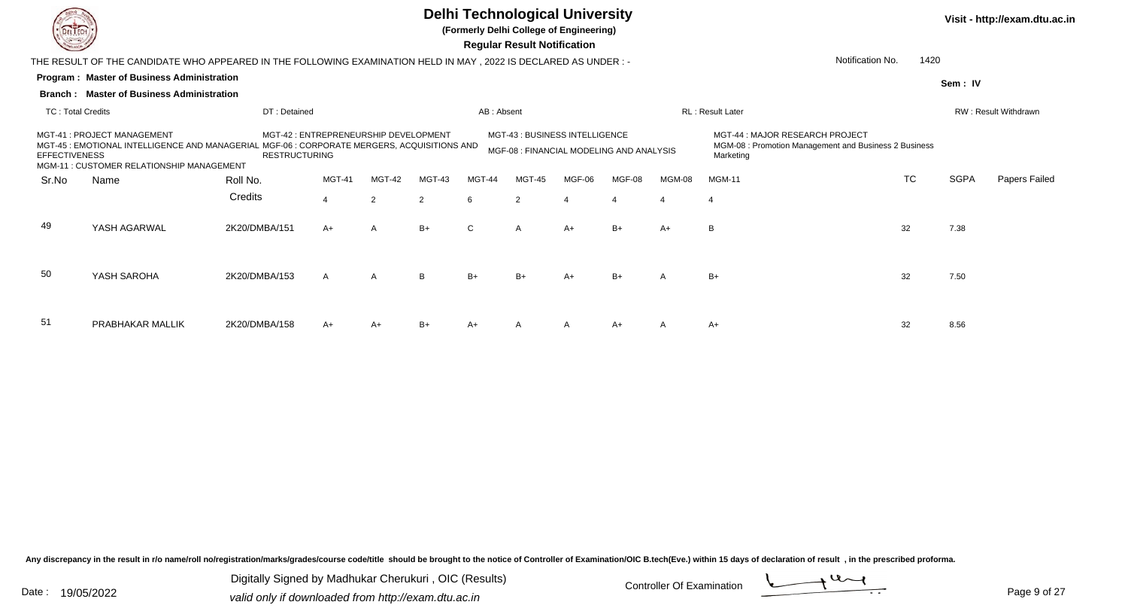

**(Formerly Delhi College of Engineering)**

**Visit - http://exam.dtu.ac.in**

 **Regular Result Notification**

|                      | THE RESULT OF THE CANDIDATE WHO APPEARED IN THE FOLLOWING EXAMINATION HELD IN MAY , 2022 IS DECLARED AS UNDER : -          |                                                                                                                 |                |              |        |            |                                                                           |        |                       |        |                                                                                                       | 1420<br>Notification No. |             |                             |
|----------------------|----------------------------------------------------------------------------------------------------------------------------|-----------------------------------------------------------------------------------------------------------------|----------------|--------------|--------|------------|---------------------------------------------------------------------------|--------|-----------------------|--------|-------------------------------------------------------------------------------------------------------|--------------------------|-------------|-----------------------------|
|                      | Program: Master of Business Administration                                                                                 |                                                                                                                 |                |              |        |            |                                                                           |        |                       |        |                                                                                                       |                          | Sem: IV     |                             |
|                      | <b>Branch: Master of Business Administration</b>                                                                           |                                                                                                                 |                |              |        |            |                                                                           |        |                       |        |                                                                                                       |                          |             |                             |
| TC: Total Credits    |                                                                                                                            | DT: Detained                                                                                                    |                |              |        | AB: Absent |                                                                           |        |                       |        | <b>RL: Result Later</b>                                                                               |                          |             | <b>RW: Result Withdrawn</b> |
| <b>EFFECTIVENESS</b> | MGT-41 : PROJECT MANAGEMENT<br>MGT-45 : EMOTIONAL INTELLIGENCE AND MANAGERIAL<br>MGM-11 : CUSTOMER RELATIONSHIP MANAGEMENT | MGT-42 : ENTREPRENEURSHIP DEVELOPMENT<br>L MGF-06 : CORPORATE MERGERS, ACQUISITIONS AND<br><b>RESTRUCTURING</b> |                |              |        |            | MGT-43: BUSINESS INTELLIGENCE<br>MGF-08 : FINANCIAL MODELING AND ANALYSIS |        |                       |        | MGT-44 : MAJOR RESEARCH PROJECT<br>MGM-08 : Promotion Management and Business 2 Business<br>Marketing |                          |             |                             |
| Sr.No                | Name                                                                                                                       | Roll No.                                                                                                        | MGT-41         | MGT-42       | MGT-43 | MGT-44     | MGT-45                                                                    | MGF-06 | MGF-08                | MGM-08 | <b>MGM-11</b>                                                                                         | <b>TC</b>                | <b>SGPA</b> | Papers Failed               |
|                      |                                                                                                                            | Credits                                                                                                         | $\overline{4}$ | 2            | 2      | 6          | 2                                                                         |        | $\boldsymbol{\Delta}$ |        | 4                                                                                                     |                          |             |                             |
| 49                   | YASH AGARWAL                                                                                                               | 2K20/DMBA/151                                                                                                   | $A+$           | A            | $B+$   | C.         | A                                                                         | A+     | $B+$                  | $A+$   | B                                                                                                     | 32                       | 7.38        |                             |
| 50                   | YASH SAROHA                                                                                                                | 2K20/DMBA/153                                                                                                   | $\mathsf{A}$   | $\mathsf{A}$ | B      | $B+$       | $B+$                                                                      | A+     | $B+$                  | A      | $B+$                                                                                                  | 32                       | 7.50        |                             |
| 51                   | PRABHAKAR MALLIK                                                                                                           | 2K20/DMBA/158                                                                                                   | $A+$           | $A+$         | $B+$   | $A+$       | A                                                                         |        | $A+$                  | A      | $A+$                                                                                                  | 32                       | 8.56        |                             |

Any discrepancy in the result in r/o name/roll no/registration/marks/grades/course code/title should be brought to the notice of Controller of Examination/OIC B.tech(Eve.) within 15 days of declaration of result, in the pr

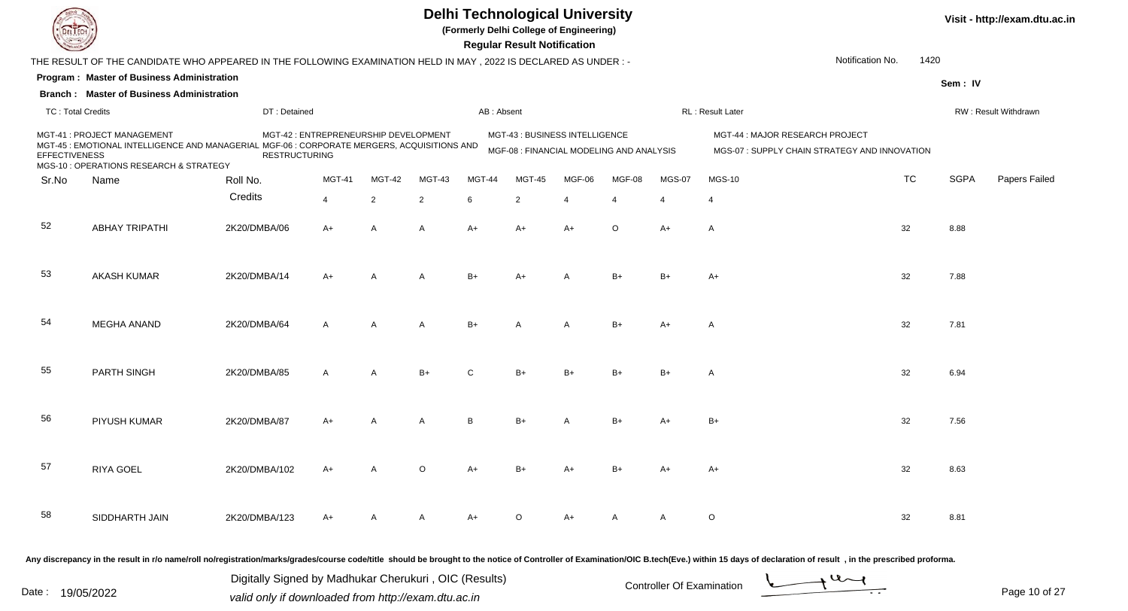

**(Formerly Delhi College of Engineering)**

 **Regular Result Notification**

|                          | THE RESULT OF THE CANDIDATE WHO APPEARED IN THE FOLLOWING EXAMINATION HELD IN MAY, 2022 IS DECLARED AS UNDER :-                                                       |                      |                                       |                |                |               |                                                                            |                |         |               | Notification No.                                                                | 1420      |             |                      |
|--------------------------|-----------------------------------------------------------------------------------------------------------------------------------------------------------------------|----------------------|---------------------------------------|----------------|----------------|---------------|----------------------------------------------------------------------------|----------------|---------|---------------|---------------------------------------------------------------------------------|-----------|-------------|----------------------|
|                          | <b>Program: Master of Business Administration</b>                                                                                                                     |                      |                                       |                |                |               |                                                                            |                |         |               |                                                                                 |           | Sem: IV     |                      |
|                          | <b>Branch: Master of Business Administration</b>                                                                                                                      |                      |                                       |                |                |               |                                                                            |                |         |               |                                                                                 |           |             |                      |
| <b>TC: Total Credits</b> |                                                                                                                                                                       | DT: Detained         |                                       |                |                | AB: Absent    |                                                                            |                |         |               | RL: Result Later                                                                |           |             | RW: Result Withdrawn |
| <b>EFFECTIVENESS</b>     | MGT-41 : PROJECT MANAGEMENT<br>MGT-45 : EMOTIONAL INTELLIGENCE AND MANAGERIAL MGF-06 : CORPORATE MERGERS, ACQUISITIONS AND<br>MGS-10 : OPERATIONS RESEARCH & STRATEGY | <b>RESTRUCTURING</b> | MGT-42 : ENTREPRENEURSHIP DEVELOPMENT |                |                |               | MGT-43 : BUSINESS INTELLIGENCE<br>MGF-08 : FINANCIAL MODELING AND ANALYSIS |                |         |               | MGT-44: MAJOR RESEARCH PROJECT<br>MGS-07 : SUPPLY CHAIN STRATEGY AND INNOVATION |           |             |                      |
| Sr.No                    | Name                                                                                                                                                                  | Roll No.             | <b>MGT-41</b>                         | <b>MGT-42</b>  | <b>MGT-43</b>  | <b>MGT-44</b> | <b>MGT-45</b>                                                              | MGF-06         | MGF-08  | <b>MGS-07</b> | <b>MGS-10</b>                                                                   | <b>TC</b> | <b>SGPA</b> | Papers Failec        |
|                          |                                                                                                                                                                       | Credits              | $\overline{4}$                        | $\overline{2}$ | $\overline{2}$ | 6             | 2                                                                          | $\overline{4}$ | 4       | 4             | $\overline{4}$                                                                  |           |             |                      |
| 52                       | <b>ABHAY TRIPATHI</b>                                                                                                                                                 | 2K20/DMBA/06         | $A+$                                  | A              | A              | $A+$          | $A+$                                                                       | $A+$           | $\circ$ | $A+$          | $\overline{A}$                                                                  | 32        | 8.88        |                      |
| 53                       | <b>AKASH KUMAR</b>                                                                                                                                                    | 2K20/DMBA/14         | $A+$                                  |                | A              | $B+$          | $A+$                                                                       |                | $B+$    | $B+$          | A+                                                                              | 32        | 7.88        |                      |
| 54                       | <b>MEGHA ANAND</b>                                                                                                                                                    | 2K20/DMBA/64         | $\mathsf{A}$                          | A              | Α              | $B+$          | A                                                                          | A              | $B+$    | $A+$          | $\mathsf{A}$                                                                    | 32        | 7.81        |                      |
| 55                       | PARTH SINGH                                                                                                                                                           | 2K20/DMBA/85         | A                                     | А              | $B+$           | C             | $B+$                                                                       |                | $B+$    | $B+$          | A                                                                               | 32        | 6.94        |                      |
| 56                       | PIYUSH KUMAR                                                                                                                                                          | 2K20/DMBA/87         | A+                                    |                | A              | B             | $B+$                                                                       |                | $B+$    | $A+$          | B+                                                                              | 32        | 7.56        |                      |
| 57                       | RIYA GOEL                                                                                                                                                             | 2K20/DMBA/102        | A+                                    |                | $\Omega$       |               |                                                                            |                |         | $A+$          | A+                                                                              | 32        | 8.63        |                      |
| 58                       | SIDDHARTH JAIN                                                                                                                                                        | 2K20/DMBA/123        | $A+$                                  |                |                | A+            | $\Omega$                                                                   | $A+$           | A       | A             | $\circ$                                                                         | 32        | 8.81        |                      |
|                          |                                                                                                                                                                       |                      |                                       |                |                |               |                                                                            |                |         |               |                                                                                 |           |             |                      |

Any discrepancy in the result in r/o name/roll no/registration/marks/grades/course code/title should be brought to the notice of Controller of Examination/OIC B.tech(Eve.) within 15 days of declaration of result , in the p

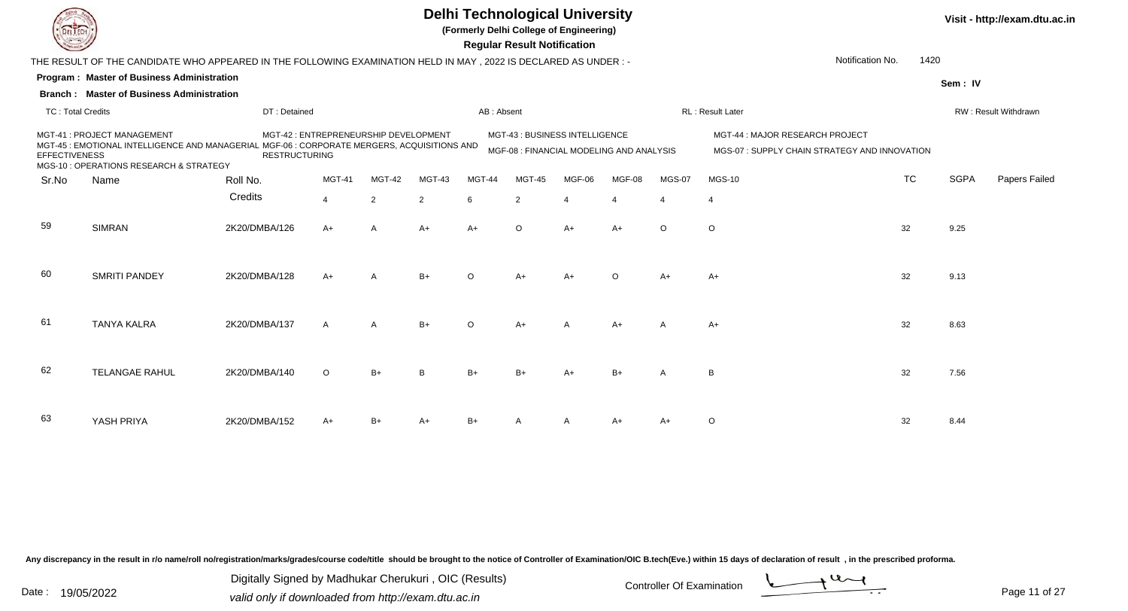

**(Formerly Delhi College of Engineering)**

**Sem : IV**

**Program : Master of Business Administration Regular Result NotificationBranch : Master of Business Administration**THE RESULT OF THE CANDIDATE WHO APPEARED IN THE FOLLOWING EXAMINATION HELD IN MAY , 2022 IS DECLARED AS UNDER : -Notification No.1420

TC : Total Credits DT : Detainedd AB : Absent RL : Result Later RW : Result Withdrawn Sr.Noo Name Roll No. **Credits** MGT-41 : PROJECT MANAGEMENT MGT-42 : ENTREPRENEURSHIP DEVELOPMENT MGT-43 : BUSINESS INTELLIGENCE MGT-44 : MAJOR RESEARCH PROJECT MGT-45 : EMOTIONAL INTELLIGENCE AND MANAGERIAL MGF-06 : CORPORATE MERGERS, ACQUISITIONS AND **EFFECTIVENESS**  MGS-10 : OPERATIONS RESEARCH & STRATEGYRESTRUCTURING MGF-08 : FINANCIAL MODELING AND ANALYSIS MGS-07 : SUPPLY CHAIN STRATEGY AND INNOVATION MGT-41 MGT-42 MGT-43 MGT-44 MGT-45 MGF-06 MGF-08 MGS-07 MGS-10 TCTC SGPA Papers Failed 44 2 2 6 2 4 4 4 4 59 SIMRANN 2K20/DMBA/126 A+ A A+ A+ O A+ A+ O O S 60 SMRITI PANDEY 2K20/DMBA/128 A+ <sup>A</sup> B+ <sup>O</sup> A+ A+ <sup>O</sup> A+ A+ <sup>32</sup> 9.13 61 TANYA KALRAA 2K20/DMBA/137 A A B+ O A+ A A+ A A+ A A+ S 62 TELANGAE RAHUL 2K20/DMBA/140 <sup>O</sup>O B+ B B+ B+ A+ B+ A B 32 7.56 63 YASH PRIYA2K20/DMBA/152 A+ B+ A+ B+ <sup>A</sup> <sup>A</sup> A+ A+ <sup>O</sup> <sup>32</sup> 8.44

Any discrepancy in the result in r/o name/roll no/registration/marks/grades/course code/title should be brought to the notice of Controller of Examination/OIC B.tech(Eve.) within 15 days of declaration of result , in the p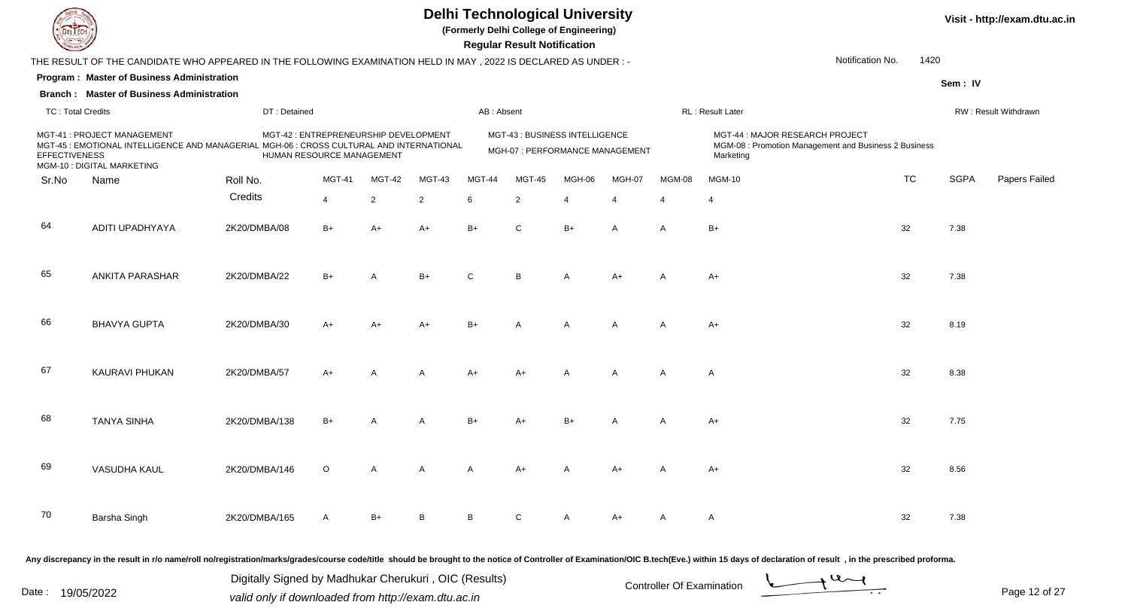

**(Formerly Delhi College of Engineering)**

**Visit - http://exam.dtu.ac.in**

**Program : Master of Business Administration Regular Result NotificationSem : IVBranch : Master of Business Administration**THE RESULT OF THE CANDIDATE WHO APPEARED IN THE FOLLOWING EXAMINATION HELD IN MAY , 2022 IS DECLARED AS UNDER : -TC : Total Credits DT : Detainedd AB : Absent RL : Result Later RW : Result Withdrawn Notification No. 1420Sr.NoName Roll No. **Credits** MGT-41 : PROJECT MANAGEMENT MGT-42 : ENTREPRENEURSHIP DEVELOPMENT MGT-43 : BUSINESS INTELLIGENCE MGT-44 : MAJOR RESEARCH PROJECT MGT-45 : EMOTIONAL INTELLIGENCE AND MANAGERIAL MGH-06 : CROSS CULTURAL AND INTERNATIONAL **EFFECTIVENESS**  MGM-10 : DIGITAL MARKETINGHUMAN RESOURCE MANAGEMENTMGH-07 : PERFORMANCE MANAGEMENT MGM-08 : Promotion Management and Business 2 Business<br>Marketing MGT-41 MGT-42 MGT-43 MGT-44 MGT-45 MGH-06 MGH-07 MGM-08 MGM-10 TCTC SGPA Papers Failed 44 2 2 6 2 4 4 4 4 64 ADITI UPADHYAYA 2K20/DMBA/08 B+ A+ A+ B+ <sup>C</sup> B+ <sup>A</sup> <sup>A</sup> B+ <sup>32</sup> 7.38 65 ANKITA PARASHAR 2K20/DMBA/22 B+ <sup>A</sup> B+ <sup>C</sup> <sup>B</sup> <sup>A</sup> A+ <sup>A</sup> A+ <sup>32</sup> 7.38 66 BHAVYA GUPTA 2K20/DMBA/30 A+ A+ A+ B+ <sup>A</sup> <sup>A</sup> <sup>A</sup> <sup>A</sup> A+ <sup>32</sup> 8.19 67 KAURAVI PHUKANN 2K20/DMBA/57 A+ A A A A+ A+ A A A A A A S 32 8.38 68 TANYA SINHAA 2K20/DMBA/138 B+ A A B+ A+ B+ A A A+ 32 7.75 69 VASUDHA KAUL 2K20/DMBA/146 <sup>O</sup>O A A A A+ A A+ A A+ A A+ 32 8.56 70 Barsha Singh2K20/DMBA/165 A B+ B B C C A A+ A A <br>32 7.38 Any discrepancy in the result in r/o name/roll no/registration/marks/grades/course code/title should be brought to the notice of Controller of Examination/OIC B.tech(Eve.) within 15 days of declaration of result , in the p

Date : 19/05/2022 Valid only if downloaded from http://exam.dtu.ac.in<br>
Date : 19/05/2022 valid only if downloaded from http://exam.dtu.ac.in

Digitally Signed by Madhukar Cherukuri , OIC (Results)

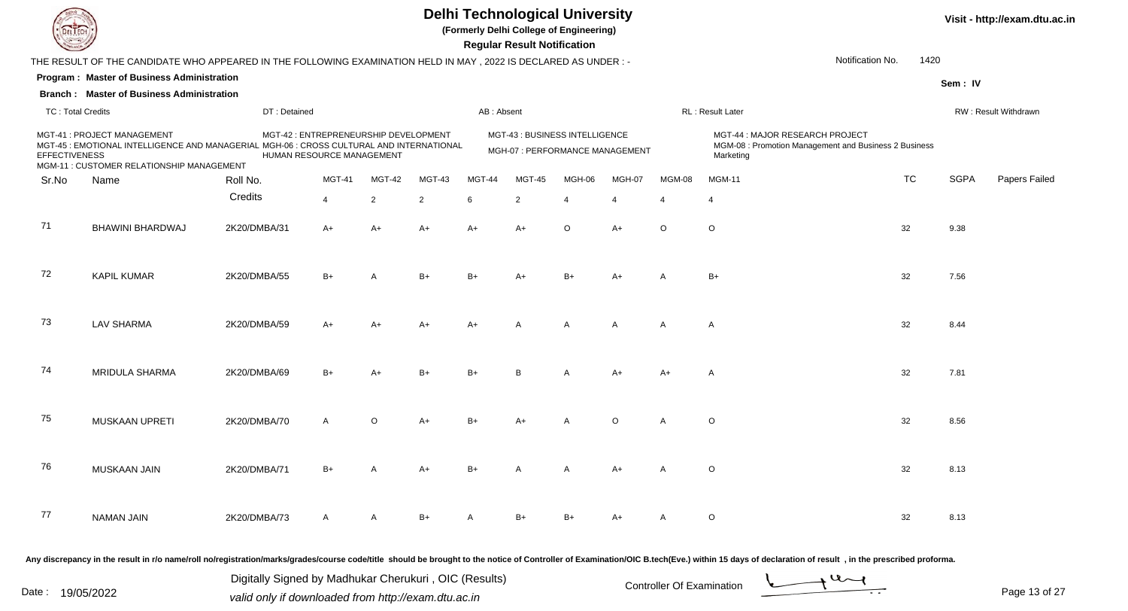

**(Formerly Delhi College of Engineering)**

 **Regular Result Notification**

|                          | THE RESULT OF THE CANDIDATE WHO APPEARED IN THE FOLLOWING EXAMINATION HELD IN MAY , 2022 IS DECLARED AS UNDER :-                                                     |              |                                                                    |                |                |            |                |                                                                   |              |                          | Notification No.                                                                                      | 1420      |             |                      |
|--------------------------|----------------------------------------------------------------------------------------------------------------------------------------------------------------------|--------------|--------------------------------------------------------------------|----------------|----------------|------------|----------------|-------------------------------------------------------------------|--------------|--------------------------|-------------------------------------------------------------------------------------------------------|-----------|-------------|----------------------|
|                          | Program: Master of Business Administration                                                                                                                           |              |                                                                    |                |                |            |                |                                                                   |              |                          |                                                                                                       |           | Sem: IV     |                      |
|                          | <b>Branch: Master of Business Administration</b>                                                                                                                     |              |                                                                    |                |                |            |                |                                                                   |              |                          |                                                                                                       |           |             |                      |
| <b>TC: Total Credits</b> |                                                                                                                                                                      | DT: Detained |                                                                    |                |                | AB: Absent |                |                                                                   |              |                          | RL: Result Later                                                                                      |           |             | RW: Result Withdrawn |
| <b>EFFECTIVENESS</b>     | MGT-41 : PROJECT MANAGEMENT<br>MGT-45 : EMOTIONAL INTELLIGENCE AND MANAGERIAL MGH-06 : CROSS CULTURAL AND INTERNATIONAL<br>MGM-11 : CUSTOMER RELATIONSHIP MANAGEMENT |              | MGT-42 : ENTREPRENEURSHIP DEVELOPMENT<br>HUMAN RESOURCE MANAGEMENT |                |                |            |                | MGT-43 : BUSINESS INTELLIGENCE<br>MGH-07 : PERFORMANCE MANAGEMENT |              |                          | MGT-44 : MAJOR RESEARCH PROJECT<br>MGM-08 : Promotion Management and Business 2 Business<br>Marketing |           |             |                      |
| Sr.No                    | Name                                                                                                                                                                 | Roll No.     | <b>MGT-41</b>                                                      | MGT-42         | <b>MGT-43</b>  | MGT-44     | MGT-45         | MGH-06                                                            | MGH-07       | MGM-08                   | <b>MGM-11</b>                                                                                         | <b>TC</b> | <b>SGPA</b> | Papers Failec        |
|                          |                                                                                                                                                                      | Credits      | $\overline{4}$                                                     | $\overline{2}$ | $\overline{2}$ | 6          | $\overline{2}$ | $\Delta$                                                          |              | $\boldsymbol{\varDelta}$ | $\boldsymbol{\Lambda}$                                                                                |           |             |                      |
| 71                       | BHAWINI BHARDWAJ                                                                                                                                                     | 2K20/DMBA/31 | $A+$                                                               | $A+$           | $A+$           | $A+$       | $A+$           | $\circ$                                                           | $A+$         | $\circ$                  | $\circ$                                                                                               | 32        | 9.38        |                      |
| 72                       | <b>KAPIL KUMAR</b>                                                                                                                                                   | 2K20/DMBA/55 | $B+$                                                               |                | $B+$           | $B+$       | A+             |                                                                   | $A+$         |                          | B+                                                                                                    | 32        | 7.56        |                      |
| 73                       | <b>LAV SHARMA</b>                                                                                                                                                    | 2K20/DMBA/59 | $A+$                                                               | A+             | $A+$           | $A+$       | A              | A                                                                 | $\mathsf{A}$ | $\overline{A}$           | $\overline{A}$                                                                                        | 32        | 8.44        |                      |
| 74                       | MRIDULA SHARMA                                                                                                                                                       | 2K20/DMBA/69 | $B+$                                                               |                | $B+$           |            | <sub>R</sub>   |                                                                   | $A+$         | $A+$                     | $\overline{A}$                                                                                        | 32        | 7.81        |                      |
| 75                       | MUSKAAN UPRETI                                                                                                                                                       | 2K20/DMBA/70 | $\mathsf{A}$                                                       | $\Omega$       | $A+$           | $B+$       | $A+$           | A                                                                 | $\circ$      | $\overline{A}$           | $\circ$                                                                                               | 32        | 8.56        |                      |
| 76                       | <b>MUSKAAN JAIN</b>                                                                                                                                                  | 2K20/DMBA/71 | $B+$                                                               | A              | $A+$           | $B+$       | A              | A                                                                 | $A+$         | $\overline{A}$           | $\circ$                                                                                               | 32        | 8.13        |                      |
| 77                       | <b>NAMAN JAIN</b>                                                                                                                                                    | 2K20/DMBA/73 | $\mathsf{A}$                                                       | A              | $B+$           |            | $B+$           |                                                                   | $A+$         | A                        | $\circ$                                                                                               | 32        | 8.13        |                      |
|                          |                                                                                                                                                                      |              |                                                                    |                |                |            |                |                                                                   |              |                          |                                                                                                       |           |             |                      |

Any discrepancy in the result in r/o name/roll no/registration/marks/grades/course code/title should be brought to the notice of Controller of Examination/OIC B.tech(Eve.) within 15 days of declaration of result, in the pr

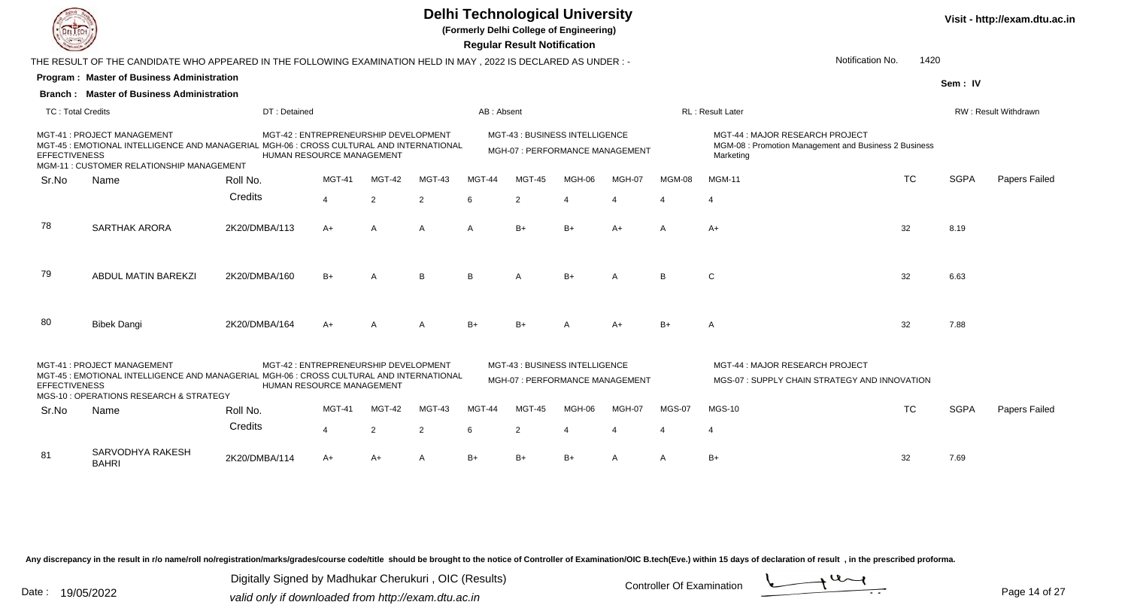

**(Formerly Delhi College of Engineering)**

 **Regular Result Notification**

|                          |                                                                                                                                                                     |                                                                    |                                       |                |                |                | Regular Result Notification                                       |        |        |               |                                                                                                       |           |             |                             |
|--------------------------|---------------------------------------------------------------------------------------------------------------------------------------------------------------------|--------------------------------------------------------------------|---------------------------------------|----------------|----------------|----------------|-------------------------------------------------------------------|--------|--------|---------------|-------------------------------------------------------------------------------------------------------|-----------|-------------|-----------------------------|
|                          | THE RESULT OF THE CANDIDATE WHO APPEARED IN THE FOLLOWING EXAMINATION HELD IN MAY , 2022 IS DECLARED AS UNDER :-                                                    |                                                                    |                                       |                |                |                |                                                                   |        |        |               | Notification No.                                                                                      | 1420      |             |                             |
|                          | <b>Program: Master of Business Administration</b>                                                                                                                   |                                                                    |                                       |                |                |                |                                                                   |        |        |               |                                                                                                       |           | Sem: IV     |                             |
|                          | <b>Branch: Master of Business Administration</b>                                                                                                                    |                                                                    |                                       |                |                |                |                                                                   |        |        |               |                                                                                                       |           |             |                             |
| <b>TC: Total Credits</b> |                                                                                                                                                                     | DT: Detained                                                       |                                       |                |                | AB: Absent     |                                                                   |        |        |               | <b>RL: Result Later</b>                                                                               |           |             | <b>RW: Result Withdrawn</b> |
| <b>EFFECTIVENESS</b>     | MGT-41: PROJECT MANAGEMENT<br>MGT-45 : EMOTIONAL INTELLIGENCE AND MANAGERIAL MGH-06 : CROSS CULTURAL AND INTERNATIONAL<br>MGM-11 : CUSTOMER RELATIONSHIP MANAGEMENT | HUMAN RESOURCE MANAGEMENT                                          | MGT-42 : ENTREPRENEURSHIP DEVELOPMENT |                |                |                | MGT-43 : BUSINESS INTELLIGENCE<br>MGH-07 : PERFORMANCE MANAGEMENT |        |        |               | MGT-44 : MAJOR RESEARCH PROJECT<br>MGM-08 : Promotion Management and Business 2 Business<br>Marketing |           |             |                             |
| Sr.No                    | Name                                                                                                                                                                | Roll No.                                                           | <b>MGT-41</b>                         | MGT-42         | MGT-43         | MGT-44         | <b>MGT-45</b>                                                     | MGH-06 | MGH-07 | MGM-08        | <b>MGM-11</b>                                                                                         | <b>TC</b> | <b>SGPA</b> | Papers Failed               |
|                          |                                                                                                                                                                     | Credits                                                            | $\overline{4}$                        | $\overline{2}$ | $\overline{2}$ | 6              | $\overline{2}$                                                    |        |        |               |                                                                                                       |           |             |                             |
| 78                       | SARTHAK ARORA                                                                                                                                                       | 2K20/DMBA/113                                                      | $A+$                                  | A              | A              | A              | $B+$                                                              | $B+$   | $A+$   | A             | $A+$                                                                                                  | 32        | 8.19        |                             |
| 79                       | ABDUL MATIN BAREKZI                                                                                                                                                 | 2K20/DMBA/160                                                      | $B+$                                  | $\overline{A}$ | B              | R <sub>1</sub> |                                                                   | $B+$   | A      | <b>B</b>      | C                                                                                                     | 32        | 6.63        |                             |
| -80                      | <b>Bibek Dangi</b>                                                                                                                                                  | 2K20/DMBA/164                                                      | $A+$                                  | A              | $\mathsf{A}$   | $B+$           | $B+$                                                              |        | $A+$   | $B+$          | A                                                                                                     | 32        | 7.88        |                             |
| <b>EFFECTIVENESS</b>     | MGT-41: PROJECT MANAGEMENT<br>MGT-45 : EMOTIONAL INTELLIGENCE AND MANAGERIAL MGH-06 : CROSS CULTURAL AND INTERNATIONAL<br>MGS-10 : OPERATIONS RESEARCH & STRATEGY   | MGT-42 : ENTREPRENEURSHIP DEVELOPMENT<br>HUMAN RESOURCE MANAGEMENT |                                       |                |                |                | MGT-43: BUSINESS INTELLIGENCE<br>MGH-07: PERFORMANCE MANAGEMENT   |        |        |               | MGT-44 : MAJOR RESEARCH PROJECT<br>MGS-07: SUPPLY CHAIN STRATEGY AND INNOVATION                       |           |             |                             |
| Sr.No                    | Name                                                                                                                                                                | Roll No.                                                           | <b>MGT-41</b>                         | MGT-42         | MGT-43         | MGT-44         | MGT-45                                                            | MGH-06 | MGH-07 | <b>MGS-07</b> | <b>MGS-10</b>                                                                                         | <b>TC</b> | <b>SGPA</b> | Papers Failed               |
|                          |                                                                                                                                                                     | Credits                                                            | $\overline{\mathbf{A}}$               | $\overline{2}$ | $\overline{2}$ | 6              | 2                                                                 |        |        |               |                                                                                                       |           |             |                             |
| -81                      | SARVODHYA RAKESH<br><b>BAHRI</b>                                                                                                                                    | 2K20/DMBA/114                                                      | $A+$                                  | $A+$           | A              | $B+$           | $B+$                                                              | $B+$   | A      | A             | $B+$                                                                                                  | 32        | 7.69        |                             |

Any discrepancy in the result in r/o name/roll no/registration/marks/grades/course code/title should be brought to the notice of Controller of Examination/OIC B.tech(Eve.) within 15 days of declaration of result, in the pr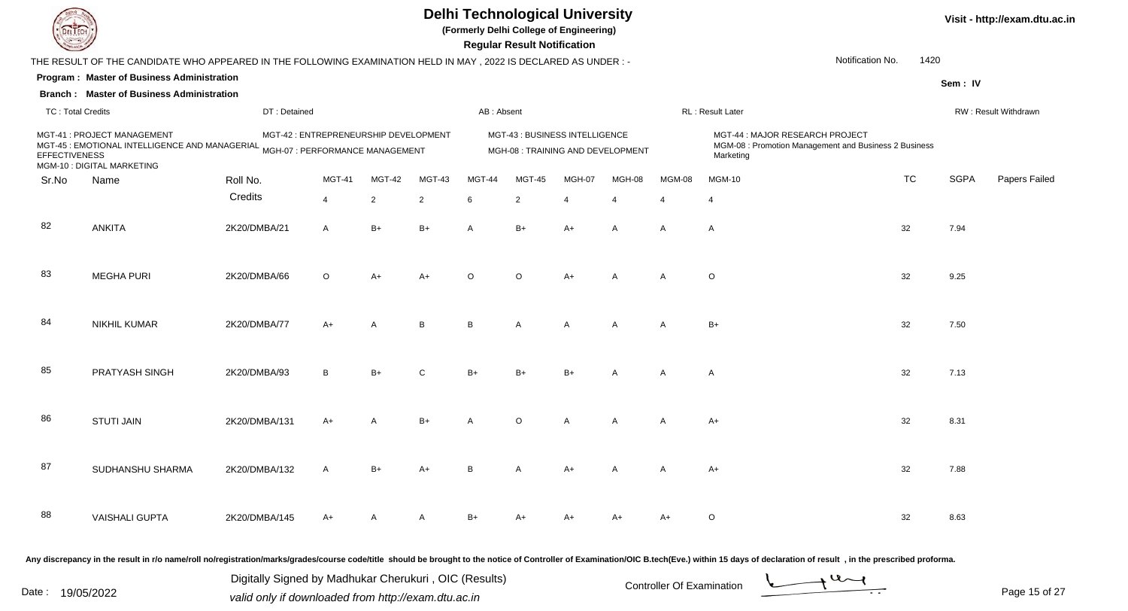

**(Formerly Delhi College of Engineering)**

 **Regular Result Notification**

**Program : Master of Business AdministrationSem : IVBranch : Master of Business Administration**THE RESULT OF THE CANDIDATE WHO APPEARED IN THE FOLLOWING EXAMINATION HELD IN MAY , 2022 IS DECLARED AS UNDER : -TC : Total Credits DT : Detainedd AB : Absent RL : Result Later RW : Result Withdrawn Notification No. 1420Sr.NoName Roll No. **Credits** MGT-41 : PROJECT MANAGEMENTMGT-41 : PROJECT MANAGEMENT MGT-42 : ENTREPRENEURSHIP DEVELOPMENT MGT-43 : BUSINESS INTELLIGENCE<br>MGT-45 : EMOTIONAL INTELLIGENCE AND MANAGERIAL MGH-07 : PERFORMANCE MANAGEMENT MGH-08 : TRAINING AND D MGT-43 : BUSINESS INTELLIGENCE<br>MGM-08 : Promotion Management and Business 2 Business<br>MGM-08 : Promotion Management and Business 2 Business **EFFECTIVENESS** ONAL INTELLIGENCE AND MANAGERIAL <sub>MGH-07</sub> : PERFORMANCE MANAGEMENT MGH-08 : TRAINING AND DEVELOPMENT MGM-08 : Promotion Management and Business 2 Business<br>Sample and the control of the material material materi MGM-10 : DIGITAL MARKETINGMGT-41 MGT-42 MGT-43 MGT-44 MGT-45 MGH-07 MGH-08 MGM-08 MGM-10 TCTC SGPA Papers Failed 44 2 2 6 2 4 4 4 4 82 ANKITA 2K20/DMBA/21 <sup>A</sup> B+ B+ <sup>A</sup> B+ A+ <sup>A</sup> <sup>A</sup> <sup>A</sup> <sup>32</sup> 7.94 83MEGHA PURI 2K20/DMBA/66 6 O A+ A+ <sup>O</sup> <sup>O</sup> A+ <sup>A</sup> <sup>A</sup> <sup>O</sup> <sup>32</sup> 9.25 84 NIKHIL KUMARR 2K20/DMBA/77 A+ A B B A A A A B+ 32 7.50 85 PRATYASH SINGH 2K20/DMBA/93 <sup>B</sup> B+ <sup>C</sup> B+ B+ B+ <sup>A</sup> <sup>A</sup> <sup>A</sup> <sup>32</sup> 7.13 86 STUTI JAINN 2K20/DMBA/131 A+ A B+ A O A A A A+ 32 8.31 87 SUDHANSHU SHARMAA 2K20/DMBA/132 A B+ A+ B A A+ A A A+ A 32 7.88 88 VAISHALI GUPTAA 2K20/DMBA/145 A+ A A A B+ A+ A+ A+ A+ A+ O 32 32 8.63

Any discrepancy in the result in r/o name/roll no/registration/marks/grades/course code/title should be brought to the notice of Controller of Examination/OIC B.tech(Eve.) within 15 days of declaration of result , in the p

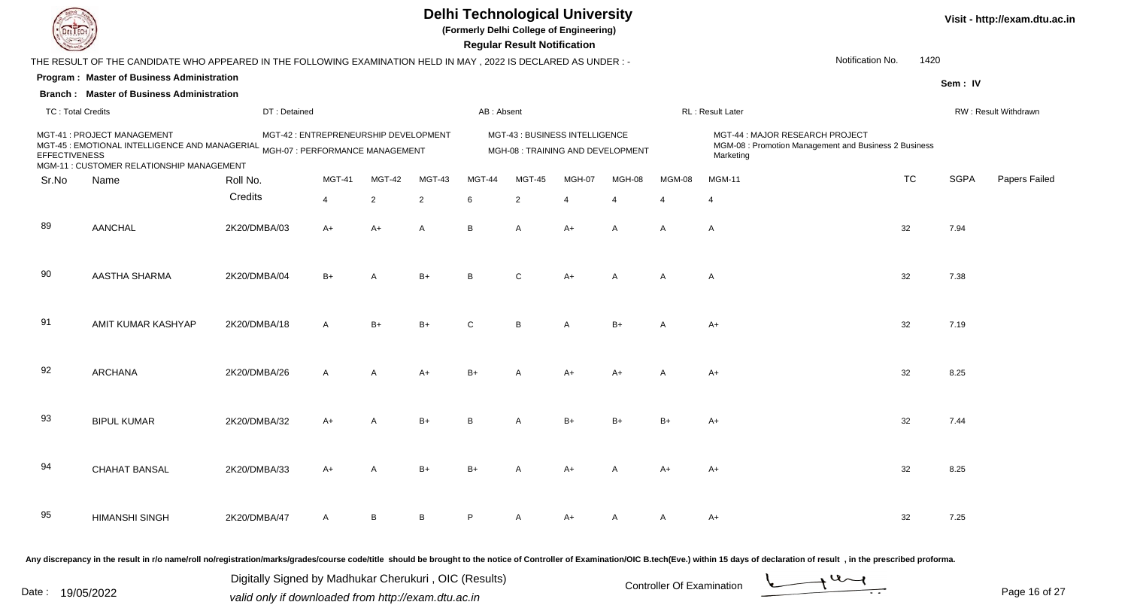**(Formerly Delhi College of Engineering)**

 **Regular Result Notification**

| <b>Country</b>           |                                                                                                                 |                                       |                |                |                |              | <b>Regular Result Notification</b>                                 |                |                |                |                                                                                                       |                  |             |                      |
|--------------------------|-----------------------------------------------------------------------------------------------------------------|---------------------------------------|----------------|----------------|----------------|--------------|--------------------------------------------------------------------|----------------|----------------|----------------|-------------------------------------------------------------------------------------------------------|------------------|-------------|----------------------|
|                          | THE RESULT OF THE CANDIDATE WHO APPEARED IN THE FOLLOWING EXAMINATION HELD IN MAY, 2022 IS DECLARED AS UNDER :- |                                       |                |                |                |              |                                                                    |                |                |                |                                                                                                       | Notification No. | 1420        |                      |
|                          | Program: Master of Business Administration                                                                      |                                       |                |                |                |              |                                                                    |                |                |                |                                                                                                       |                  | Sem: IV     |                      |
|                          | <b>Branch: Master of Business Administration</b>                                                                |                                       |                |                |                |              |                                                                    |                |                |                |                                                                                                       |                  |             |                      |
| <b>TC: Total Credits</b> |                                                                                                                 | DT: Detained                          |                |                |                | AB: Absent   |                                                                    |                |                |                | RL: Result Later                                                                                      |                  |             | RW: Result Withdrawn |
| <b>EFFECTIVENESS</b>     | MGT-41 : PROJECT MANAGEMENT<br>MGM-11 : CUSTOMER RELATIONSHIP MANAGEMENT                                        | MGT-42 : ENTREPRENEURSHIP DEVELOPMENT |                |                |                |              | MGT-43: BUSINESS INTELLIGENCE<br>MGH-08 : TRAINING AND DEVELOPMENT |                |                |                | MGT-44 : MAJOR RESEARCH PROJECT<br>MGM-08 : Promotion Management and Business 2 Business<br>Marketing |                  |             |                      |
| Sr.No                    | Name                                                                                                            | Roll No.                              | <b>MGT-41</b>  | MGT-42         | MGT-43         | MGT-44       | <b>MGT-45</b>                                                      | MGH-07         | MGH-08         | MGM-08         | <b>MGM-11</b>                                                                                         | <b>TC</b>        | <b>SGPA</b> | Papers Failec        |
|                          |                                                                                                                 | Credits                               | $\overline{4}$ | $\overline{2}$ | $\overline{2}$ | 6            | 2                                                                  | $\overline{4}$ | $\overline{4}$ | $\overline{4}$ | $\overline{4}$                                                                                        |                  |             |                      |
| 89                       | <b>AANCHAL</b>                                                                                                  | 2K20/DMBA/03                          | $A+$           | A+             | A              | B            | $\mathsf{A}$                                                       | $A+$           | $\overline{A}$ | $\overline{A}$ | $\overline{A}$                                                                                        | 32               | 7.94        |                      |
| 90                       | AASTHA SHARMA                                                                                                   | 2K20/DMBA/04                          | $B+$           | А              | $B+$           | R            | $\mathsf{C}$                                                       | $A+$           | $\mathsf{A}$   | $\overline{A}$ | $\mathsf{A}$                                                                                          | 32               | 7.38        |                      |
| 91                       | AMIT KUMAR KASHYAP                                                                                              | 2K20/DMBA/18                          | A              | $B+$           | $B+$           | $\mathsf{C}$ | B                                                                  | A              | $B+$           | $\overline{A}$ | $A+$                                                                                                  | 32               | 7.19        |                      |
| 92                       | <b>ARCHANA</b>                                                                                                  | 2K20/DMBA/26                          | $\mathsf{A}$   | $\mathsf{A}$   | $A+$           | $B+$         | A                                                                  | $A+$           | $A+$           | $\overline{A}$ | $A+$                                                                                                  | 32               | 8.25        |                      |
| 93                       | <b>BIPUL KUMAR</b>                                                                                              | 2K20/DMBA/32                          | $A+$           | A              | $B+$           | R            | A                                                                  | $B+$           | $B+$           | $B+$           | $A+$                                                                                                  | 32               | 7.44        |                      |
| 94                       | <b>CHAHAT BANSAL</b>                                                                                            | 2K20/DMBA/33                          | $A+$           | A              | $B+$           | $B+$         | $\mathsf{A}$                                                       | $A+$           | $\mathsf{A}$   | $A+$           | A+                                                                                                    | 32               | 8.25        |                      |
| 95                       | <b>HIMANSHI SINGH</b>                                                                                           | 2K20/DMBA/47                          | A              | <sub>B</sub>   | B              |              |                                                                    | $A+$           |                | A              | A+                                                                                                    | 32               | 7.25        |                      |
|                          |                                                                                                                 |                                       |                |                |                |              |                                                                    |                |                |                |                                                                                                       |                  |             |                      |

Any discrepancy in the result in r/o name/roll no/registration/marks/grades/course code/title should be brought to the notice of Controller of Examination/OIC B.tech(Eve.) within 15 days of declaration of result, in the pr

Date : 19/05/2022 Valid only if downloaded from http://exam.dtu.ac.in<br>
Date : 19/05/2022 valid only if downloaded from http://exam.dtu.ac.in

Digitally Signed by Madhukar Cherukuri , OIC (Results)

Page 16 of 27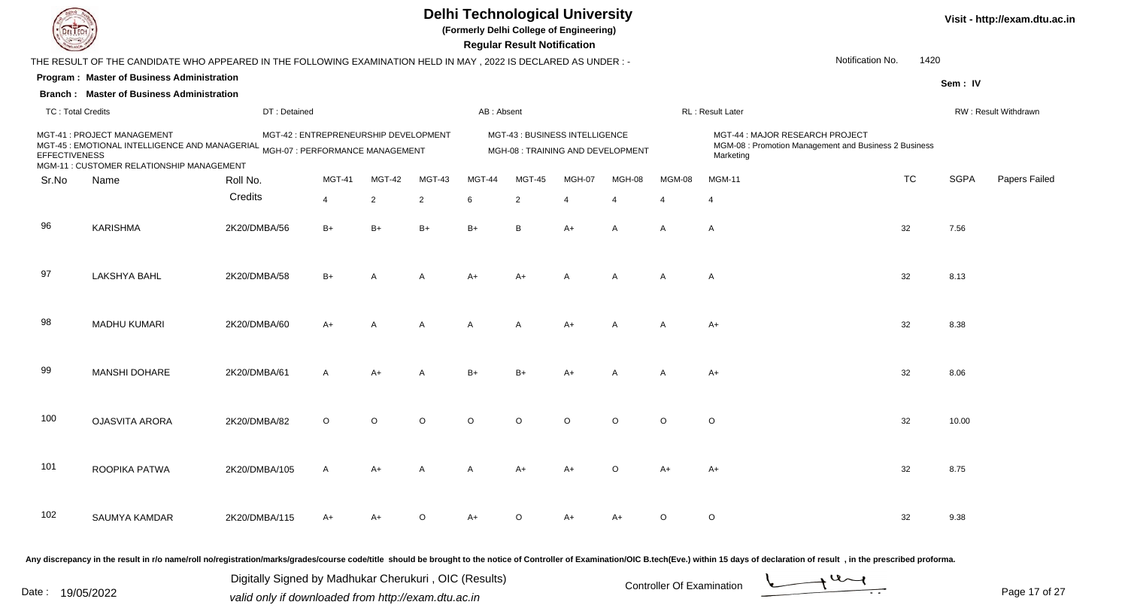**(Formerly Delhi College of Engineering)**

 **Regular Result Notification**

| <b>Course Le</b>         |                                                                                                                                                                       |               |                                       |                |                |            | Regular Result Notification                                         |                |          |                |                                                                                                                                                                                                                                |           |             |                      |
|--------------------------|-----------------------------------------------------------------------------------------------------------------------------------------------------------------------|---------------|---------------------------------------|----------------|----------------|------------|---------------------------------------------------------------------|----------------|----------|----------------|--------------------------------------------------------------------------------------------------------------------------------------------------------------------------------------------------------------------------------|-----------|-------------|----------------------|
|                          | THE RESULT OF THE CANDIDATE WHO APPEARED IN THE FOLLOWING EXAMINATION HELD IN MAY, 2022 IS DECLARED AS UNDER:-                                                        |               |                                       |                |                |            |                                                                     |                |          |                | Notification No.                                                                                                                                                                                                               | 1420      |             |                      |
|                          | Program: Master of Business Administration                                                                                                                            |               |                                       |                |                |            |                                                                     |                |          |                |                                                                                                                                                                                                                                |           | Sem: IV     |                      |
|                          | <b>Branch: Master of Business Administration</b>                                                                                                                      |               |                                       |                |                |            |                                                                     |                |          |                |                                                                                                                                                                                                                                |           |             |                      |
| <b>TC: Total Credits</b> |                                                                                                                                                                       | DT: Detained  |                                       |                |                | AB: Absent |                                                                     |                |          |                | RL : Result Later                                                                                                                                                                                                              |           |             | RW: Result Withdrawn |
| <b>EFFECTIVENESS</b>     | MGT-41 : PROJECT MANAGEMENT<br>MCT-45 : EMOTIONAL INTELLIGENCE AND MANAGERIAL <sub>MGH-07</sub> : PERFORMANCE MANAGEMENT<br>MGM-11 : CUSTOMER RELATIONSHIP MANAGEMENT |               | MGT-42 : ENTREPRENEURSHIP DEVELOPMENT |                |                |            | MGT-43 : BUSINESS INTELLIGENCE<br>MGH-08 : TRAINING AND DEVELOPMENT |                |          |                | MGT-44: MAJOR RESEARCH PROJECT<br>MGM-08 : Promotion Management and Business 2 Business<br>Marketing                                                                                                                           |           |             |                      |
| Sr.No                    | Name                                                                                                                                                                  | Roll No.      | <b>MGT-41</b>                         | MGT-42         | MGT-43         | MGT-44     | <b>MGT-45</b>                                                       | MGH-07         | MGH-08   | MGM-08         | <b>MGM-11</b>                                                                                                                                                                                                                  | <b>TC</b> | <b>SGPA</b> | Papers Failec        |
|                          |                                                                                                                                                                       | Credits       | $\overline{4}$                        | 2              | 2              | 6          | 2                                                                   | $\overline{4}$ | 4        | $\overline{4}$ | 4                                                                                                                                                                                                                              |           |             |                      |
| 96                       | <b>KARISHMA</b>                                                                                                                                                       | 2K20/DMBA/56  | $B+$                                  | $B+$           | $B+$           | $B+$       | B                                                                   | A+             | Α        | A              | A                                                                                                                                                                                                                              | 32        | 7.56        |                      |
| 97                       | LAKSHYA BAHL                                                                                                                                                          | 2K20/DMBA/58  | $B+$                                  | A              | $\overline{A}$ | A+         | $A+$                                                                | A              | Α        | Α              | A                                                                                                                                                                                                                              | 32        | 8.13        |                      |
| 98                       | <b>MADHU KUMARI</b>                                                                                                                                                   | 2K20/DMBA/60  | $A+$                                  | $\overline{A}$ | $\overline{A}$ | A          | A                                                                   | $A+$           | A        | A              | $A+$                                                                                                                                                                                                                           | 32        | 8.38        |                      |
| 99                       | MANSHI DOHARE                                                                                                                                                         | 2K20/DMBA/61  | $\mathsf{A}$                          | A+             | $\overline{A}$ | $B+$       | B+                                                                  | $A+$           |          | A              | A+                                                                                                                                                                                                                             | 32        | 8.06        |                      |
| 100                      | <b>OJASVITA ARORA</b>                                                                                                                                                 | 2K20/DMBA/82  | $\circ$                               | $\circ$        | $\circ$        | $\circ$    | $\circ$                                                             | $\Omega$       | $\circ$  | $\circ$        | $\circ$                                                                                                                                                                                                                        | 32        | 10.00       |                      |
| 101                      | ROOPIKA PATWA                                                                                                                                                         | 2K20/DMBA/105 | $\mathsf{A}$                          | A+             | A              | A          | A+                                                                  | $A+$           | $\Omega$ | $A+$           | A+                                                                                                                                                                                                                             | 32        | 8.75        |                      |
| 102                      | SAUMYA KAMDAR                                                                                                                                                         | 2K20/DMBA/115 | $A+$                                  | $A+$           | $\Omega$       | $A+$       | $\Omega$                                                            | $A+$           | $A+$     | $\circ$        | $\circ$                                                                                                                                                                                                                        | 32        | 9.38        |                      |
|                          |                                                                                                                                                                       |               |                                       |                |                |            |                                                                     |                |          |                | Any discrepancy in the result in r/o name/roll no/registration/marks/grades/course code/title should be brought to the notice of Controller of Examination/OIC B.tech(Eve.) within 15 days of declaration of result , in the p |           |             |                      |

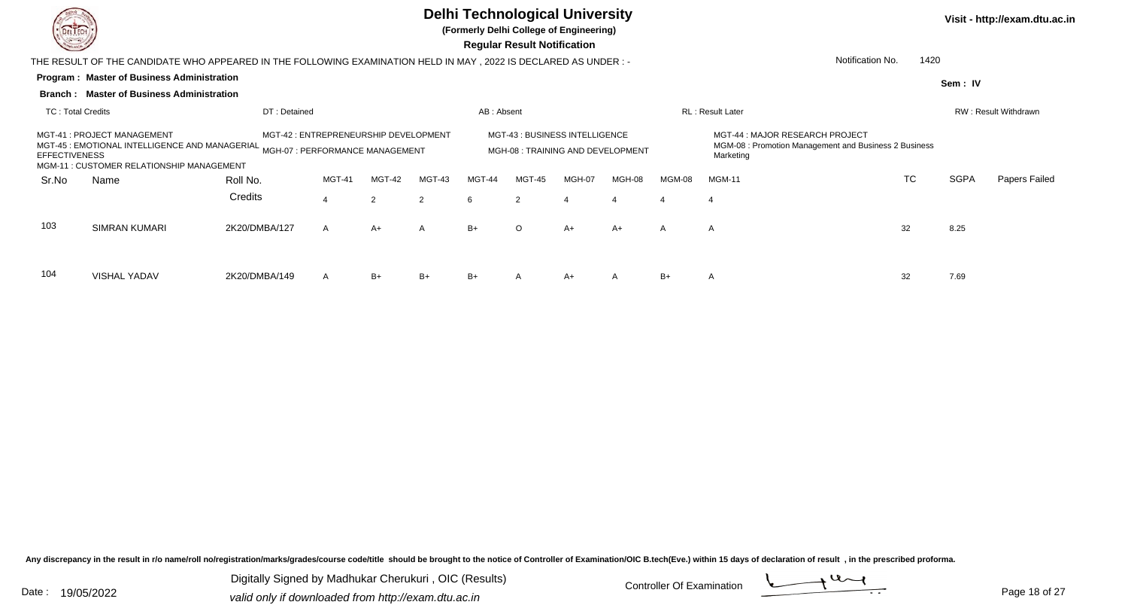

104

VISHAL YADAV

## **Delhi Technological University**

**(Formerly Delhi College of Engineering)**

 **Regular Result Notification**

**Visit - http://exam.dtu.ac.in**

**Program : Master of Business Administration** THE RESULT OF THE CANDIDATE WHO APPEARED IN THE FOLLOWING EXAMINATION HELD IN MAY , 2022 IS DECLARED AS UNDER : -**Sem : IVBranch : Master of Business Administration**TC : Total Credits DT : Detainedd AB : Absent RL : Result Later RW : Result Withdrawn Notification No. 1420Sr.Noo Name Roll No. **Credits** MGT-41 : PROJECT MANAGEMENTMGT-41 : PROJECT MANAGEMENT MGT-42 : ENTREPRENEURSHIP DEVELOPMENT MGT-43 : BUSINESS INTELLIGENCE<br>MGT-45 : EMOTIONAL INTELLIGENCE AND MANAGERIAL MGH-07 : PERFORMANCE MANAGEMENT MGH-08 : TRAINING AND D MGT-43 : BUSINESS INTELLIGENCE<br>MGM-08 : Promotion Management and Business 2 Business<br>MGM-08 : Promotion Management and Business 2 Business **EFFECTIVENESS** ONAL INTELLIGENCE AND MANAGERIAL <sub>MGH-07</sub> : PERFORMANCE MANAGEMENT MGH-08 : TRAINING AND DEVELOPMENT MGM-08 : Promotion Management and Business 2 Business<br>SALES RELATION IN THE MARKETING TO SULTAIN THE MARKETI MGM-11 : CUSTOMER RELATIONSHIP MANAGEMENTMGT-41 MGT-42 MGT-43 MGT-44 MGT-45 MGH-07 MGH-08 MGM-08 MGM-11 TCTC SGPA Papers Failed 44 2 2 6 2 4 4 4 4 103SIMRAN KUMARI 2K20/DMBA/127 7 A A+ A B+ O O A+ A+ A A A 32 8.25

V 2K20/DMBA/149 A B+ B+ B+ A A+ A B+ A 32 7.69

Any discrepancy in the result in r/o name/roll no/registration/marks/grades/course code/title should be brought to the notice of Controller of Examination/OIC B.tech(Eve.) within 15 days of declaration of result , in the p

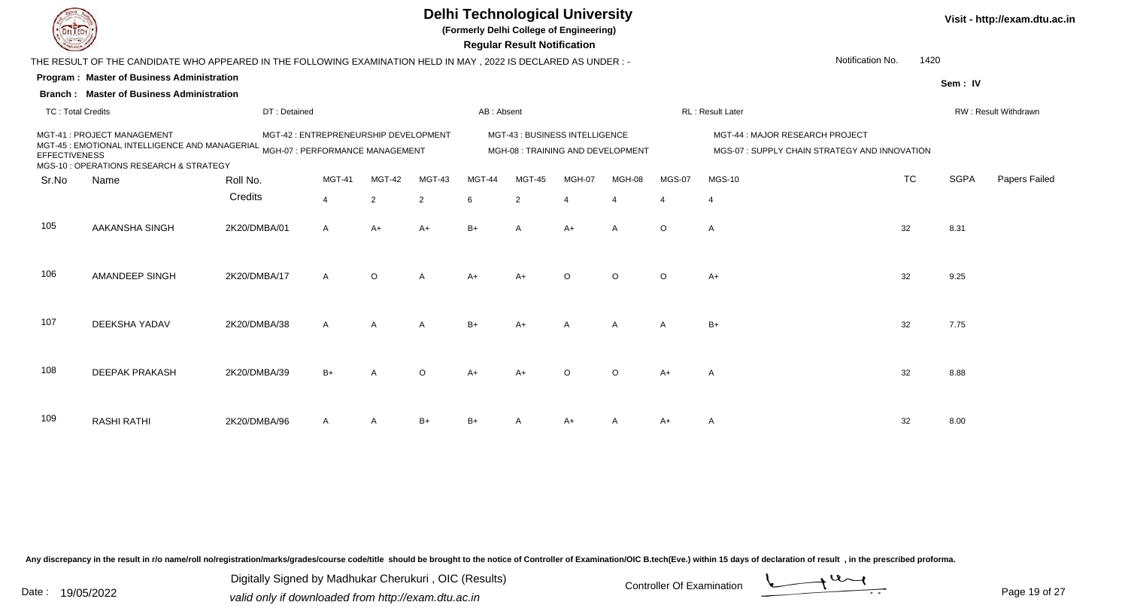**(Formerly Delhi College of Engineering)**

 **Regular Result Notification**

| <b>Course Les</b>        |                                                                                                                                                                     |                                       |                |              |                |            | Regular Result Notification |                                                                   |                |               |                                                                                 |           |             |                      |
|--------------------------|---------------------------------------------------------------------------------------------------------------------------------------------------------------------|---------------------------------------|----------------|--------------|----------------|------------|-----------------------------|-------------------------------------------------------------------|----------------|---------------|---------------------------------------------------------------------------------|-----------|-------------|----------------------|
|                          | THE RESULT OF THE CANDIDATE WHO APPEARED IN THE FOLLOWING EXAMINATION HELD IN MAY, 2022 IS DECLARED AS UNDER :-                                                     |                                       |                |              |                |            |                             |                                                                   |                |               | Notification No.                                                                | 1420      |             |                      |
|                          | <b>Program: Master of Business Administration</b>                                                                                                                   |                                       |                |              |                |            |                             |                                                                   |                |               |                                                                                 |           | Sem: IV     |                      |
|                          | <b>Branch: Master of Business Administration</b>                                                                                                                    |                                       |                |              |                |            |                             |                                                                   |                |               |                                                                                 |           |             |                      |
| <b>TC: Total Credits</b> |                                                                                                                                                                     | DT: Detained                          |                |              |                | AB: Absent |                             |                                                                   |                |               | RL: Result Later                                                                |           |             | RW: Result Withdrawn |
| <b>EFFECTIVENESS</b>     | MGT-41 : PROJECT MANAGEMENT<br>MCT-45 : EMOTIONAL INTELLIGENCE AND MANAGERIAL <sub>MGH-07</sub> : PERFORMANCE MANAGEMENT<br>MGS-10 : OPERATIONS RESEARCH & STRATEGY | MGT-42 : ENTREPRENEURSHIP DEVELOPMENT |                |              |                |            |                             | MGT-43: BUSINESS INTELLIGENCE<br>MGH-08: TRAINING AND DEVELOPMENT |                |               | MGT-44 : MAJOR RESEARCH PROJECT<br>MGS-07: SUPPLY CHAIN STRATEGY AND INNOVATION |           |             |                      |
| Sr.No                    | Name                                                                                                                                                                | Roll No.                              | <b>MGT-41</b>  | MGT-42       | MGT-43         | MGT-44     | <b>MGT-45</b>               | MGH-07                                                            | MGH-08         | <b>MGS-07</b> | <b>MGS-10</b>                                                                   | <b>TC</b> | <b>SGPA</b> | Papers Failed        |
|                          |                                                                                                                                                                     | Credits                               | $\overline{4}$ | 2            | $\overline{2}$ | 6          | $\overline{2}$              | 4                                                                 | $\overline{4}$ | 4             | $\overline{4}$                                                                  |           |             |                      |
| 105                      | AAKANSHA SINGH                                                                                                                                                      | 2K20/DMBA/01                          | $\mathsf{A}$   | $A+$         | $A+$           | $B+$       | A                           | A+                                                                | A              | $\circ$       | $\overline{A}$                                                                  | 32        | 8.31        |                      |
| 106                      | AMANDEEP SINGH                                                                                                                                                      | 2K20/DMBA/17                          | $\mathsf{A}$   | $\circ$      | $\overline{A}$ | $A+$       | $A+$                        | $\circ$                                                           | $\circ$        | $\circ$       | $A+$                                                                            | 32        | 9.25        |                      |
| 107                      | DEEKSHA YADAV                                                                                                                                                       | 2K20/DMBA/38                          | $\mathsf{A}$   | $\mathsf{A}$ | A              | $B+$       | $A+$                        | $\mathsf{A}$                                                      | Α              | A             | $B+$                                                                            | 32        | 7.75        |                      |
| 108                      | <b>DEEPAK PRAKASH</b>                                                                                                                                               | 2K20/DMBA/39                          | $B+$           |              | $\circ$        | A+         | $A+$                        | $\Omega$                                                          | $\circ$        | $A+$          | A                                                                               | 32        | 8.88        |                      |
| 109                      | <b>RASHI RATHI</b>                                                                                                                                                  | 2K20/DMBA/96                          | A              | A            | $B+$           | B+         |                             | A+                                                                |                | $A+$          | A                                                                               | 32        | 8.00        |                      |

Any discrepancy in the result in r/o name/roll no/registration/marks/grades/course code/title should be brought to the notice of Controller of Examination/OIC B.tech(Eve.) within 15 days of declaration of result, in the pr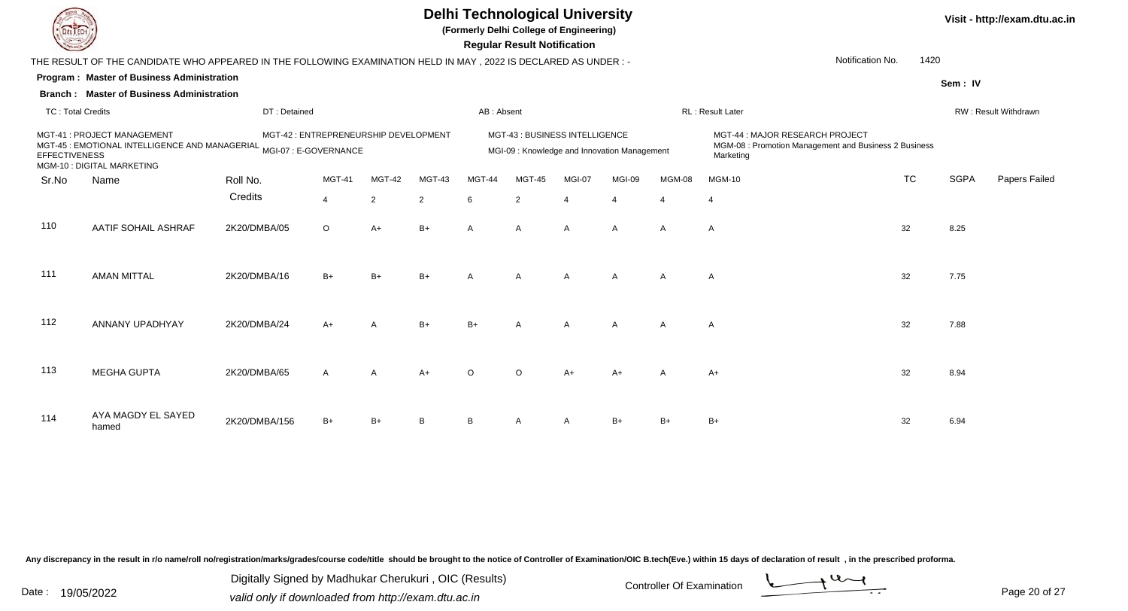

**(Formerly Delhi College of Engineering)**

 **Regular Result Notification**

| <b>County</b>            |                                                                                                                                   |               |                                       |                |                |               | <b>Regular Result Notification</b>                                             |                         |                |                |                                                                                                       |           |             |                      |
|--------------------------|-----------------------------------------------------------------------------------------------------------------------------------|---------------|---------------------------------------|----------------|----------------|---------------|--------------------------------------------------------------------------------|-------------------------|----------------|----------------|-------------------------------------------------------------------------------------------------------|-----------|-------------|----------------------|
|                          | THE RESULT OF THE CANDIDATE WHO APPEARED IN THE FOLLOWING EXAMINATION HELD IN MAY , 2022 IS DECLARED AS UNDER :-                  |               |                                       |                |                |               |                                                                                |                         |                |                | Notification No.                                                                                      | 1420      |             |                      |
|                          | Program: Master of Business Administration                                                                                        |               |                                       |                |                |               |                                                                                |                         |                |                |                                                                                                       |           | Sem: IV     |                      |
|                          | <b>Branch: Master of Business Administration</b>                                                                                  |               |                                       |                |                |               |                                                                                |                         |                |                |                                                                                                       |           |             |                      |
| <b>TC: Total Credits</b> |                                                                                                                                   | DT: Detained  |                                       |                |                | AB: Absent    |                                                                                |                         |                |                | RL: Result Later                                                                                      |           |             | RW: Result Withdrawn |
| <b>EFFECTIVENESS</b>     | MGT-41 : PROJECT MANAGEMENT<br>MCT-45 : EMOTIONAL INTELLIGENCE AND MANAGERIAL MGI-07 : E-GOVERNANCE<br>MGM-10 : DIGITAL MARKETING |               | MGT-42 : ENTREPRENEURSHIP DEVELOPMENT |                |                |               | MGT-43 : BUSINESS INTELLIGENCE<br>MGI-09 : Knowledge and Innovation Management |                         |                |                | MGT-44 : MAJOR RESEARCH PROJECT<br>MGM-08 : Promotion Management and Business 2 Business<br>Marketing |           |             |                      |
| Sr.No                    | Name                                                                                                                              | Roll No.      | MGT-41                                | MGT-42         | MGT-43         | <b>MGT-44</b> | <b>MGT-45</b>                                                                  | MGI-07                  | MGI-09         | MGM-08         | <b>MGM-10</b>                                                                                         | <b>TC</b> | <b>SGPA</b> | Papers Failec        |
|                          |                                                                                                                                   | Credits       | $\overline{4}$                        | $\overline{2}$ | $\overline{2}$ | 6             | 2                                                                              | $\overline{\mathbf{A}}$ | $\overline{4}$ | $\overline{4}$ | $\overline{4}$                                                                                        |           |             |                      |
| 110                      | AATIF SOHAIL ASHRAF                                                                                                               | 2K20/DMBA/05  | $\circ$                               | A+             | $B+$           | A             | Α                                                                              | A                       | A              | $\overline{A}$ | $\mathsf{A}$                                                                                          | 32        | 8.25        |                      |
| 111                      | <b>AMAN MITTAL</b>                                                                                                                | 2K20/DMBA/16  | $B+$                                  | $B+$           | $B+$           | A             | $\mathsf{A}$                                                                   | A                       | $\overline{A}$ | $\overline{A}$ | $\overline{A}$                                                                                        | 32        | 7.75        |                      |
| 112                      | ANNANY UPADHYAY                                                                                                                   | 2K20/DMBA/24  | $A+$                                  | A              | $B+$           | $B+$          | $\overline{A}$                                                                 | $\mathsf{A}$            | $\overline{A}$ | $\overline{A}$ | $\mathsf{A}$                                                                                          | 32        | 7.88        |                      |
| 113                      | <b>MEGHA GUPTA</b>                                                                                                                | 2K20/DMBA/65  | $\mathsf{A}$                          | A              | $A+$           | $\Omega$      | $\Omega$                                                                       | $A+$                    | A+             | $\overline{A}$ | $A+$                                                                                                  | 32        | 8.94        |                      |
| 114                      | AYA MAGDY EL SAYED<br>hamed                                                                                                       | 2K20/DMBA/156 | $B+$                                  | $B+$           | B              | <sub>B</sub>  |                                                                                |                         | $B+$           | $B+$           | B+                                                                                                    | 32        | 6.94        |                      |

Any discrepancy in the result in r/o name/roll no/registration/marks/grades/course code/title should be brought to the notice of Controller of Examination/OIC B.tech(Eve.) within 15 days of declaration of result, in the pr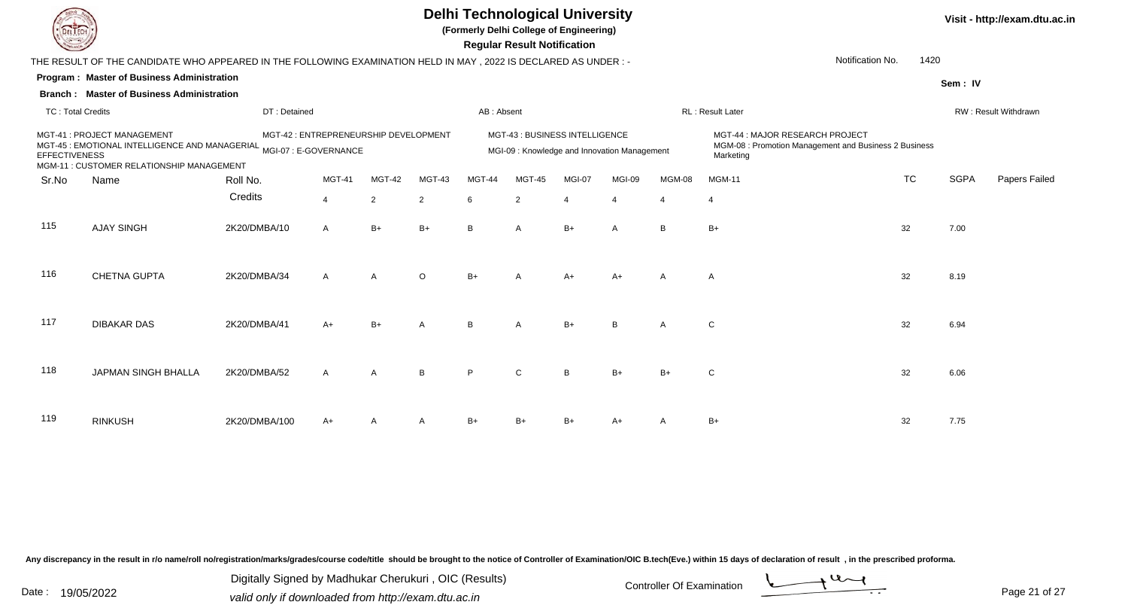

**(Formerly Delhi College of Engineering)**

 **Regular Result Notification**

| <b>Courses A</b>         |                                                                                                                                                 |               |                                       |        |                |            | <b>Regular Result Notification</b>                                             |          |                |                |                                                                                                       |           |             |                      |
|--------------------------|-------------------------------------------------------------------------------------------------------------------------------------------------|---------------|---------------------------------------|--------|----------------|------------|--------------------------------------------------------------------------------|----------|----------------|----------------|-------------------------------------------------------------------------------------------------------|-----------|-------------|----------------------|
|                          | THE RESULT OF THE CANDIDATE WHO APPEARED IN THE FOLLOWING EXAMINATION HELD IN MAY , 2022 IS DECLARED AS UNDER :-                                |               |                                       |        |                |            |                                                                                |          |                |                | Notification No.                                                                                      | 1420      |             |                      |
|                          | Program: Master of Business Administration                                                                                                      |               |                                       |        |                |            |                                                                                |          |                |                |                                                                                                       |           | Sem: IV     |                      |
|                          | <b>Branch: Master of Business Administration</b>                                                                                                |               |                                       |        |                |            |                                                                                |          |                |                |                                                                                                       |           |             |                      |
| <b>TC: Total Credits</b> |                                                                                                                                                 | DT: Detained  |                                       |        |                | AB: Absent |                                                                                |          |                |                | RL: Result Later                                                                                      |           |             | RW: Result Withdrawn |
| <b>EFFECTIVENESS</b>     | MGT-41: PROJECT MANAGEMENT<br>MGT-45 : EMOTIONAL INTELLIGENCE AND MANAGERIAL MGI-07 : E-GOVERNANCE<br>MGM-11 : CUSTOMER RELATIONSHIP MANAGEMENT |               | MGT-42 : ENTREPRENEURSHIP DEVELOPMENT |        |                |            | MGT-43 : BUSINESS INTELLIGENCE<br>MGI-09 : Knowledge and Innovation Management |          |                |                | MGT-44 : MAJOR RESEARCH PROJECT<br>MGM-08 : Promotion Management and Business 2 Business<br>Marketing |           |             |                      |
| Sr.No                    | Name                                                                                                                                            | Roll No.      | MGT-41                                | MGT-42 | MGT-43         | MGT-44     | MGT-45                                                                         | MGI-07   | MGI-09         | MGM-08         | <b>MGM-11</b>                                                                                         | <b>TC</b> | <b>SGPA</b> | Papers Failec        |
|                          |                                                                                                                                                 | Credits       | $\overline{4}$                        | 2      | $\overline{2}$ | 6          | $\overline{2}$                                                                 | 4        | $\overline{4}$ | 4              | $\overline{4}$                                                                                        |           |             |                      |
| 115                      | <b>AJAY SINGH</b>                                                                                                                               | 2K20/DMBA/10  | $\mathsf{A}$                          | $B+$   | $B+$           | B          | $\mathsf{A}$                                                                   | $B+$     | A              | B              | $B+$                                                                                                  | 32        | 7.00        |                      |
| 116                      | <b>CHETNA GUPTA</b>                                                                                                                             | 2K20/DMBA/34  | $\mathsf{A}$                          | A      | $\circ$        | $B+$       |                                                                                | $A+$     | A+             | $\overline{A}$ | $\mathsf{A}$                                                                                          | 32        | 8.19        |                      |
| 117                      | <b>DIBAKAR DAS</b>                                                                                                                              | 2K20/DMBA/41  | $A+$                                  | $B+$   | A              | B.         | A                                                                              | $B+$     | B              | $\overline{A}$ | $\mathsf{C}$                                                                                          | 32        | 6.94        |                      |
| 118                      | JAPMAN SINGH BHALLA                                                                                                                             | 2K20/DMBA/52  | A                                     | A      | B              | D          | $\mathsf{C}$                                                                   | <b>B</b> | $B+$           | $B+$           | $\mathbf C$                                                                                           | 32        | 6.06        |                      |
| 119                      | <b>RINKUSH</b>                                                                                                                                  | 2K20/DMBA/100 | A+                                    |        | A              | $B+$       | B+                                                                             |          | A+             |                | B+                                                                                                    | 32        | 7.75        |                      |

Any discrepancy in the result in r/o name/roll no/registration/marks/grades/course code/title should be brought to the notice of Controller of Examination/OIC B.tech(Eve.) within 15 days of declaration of result, in the pr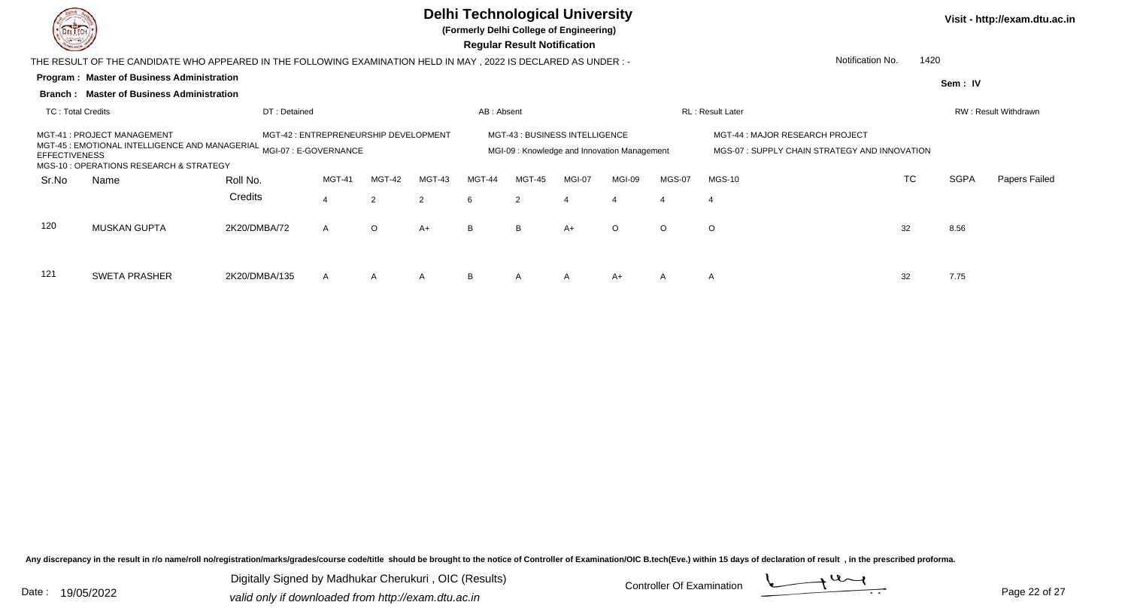

**(Formerly Delhi College of Engineering)**

 **Regular Result Notification**

|                   | THE RESULT OF THE CANDIDATE WHO APPEARED IN THE FOLLOWING EXAMINATION HELD IN MAY, 2022 IS DECLARED AS UNDER :-                                                                                                           |               |              |               |               |            |                                                                               |                  |         |               |                                                                                 | Notification No.<br>1420 |             |                      |
|-------------------|---------------------------------------------------------------------------------------------------------------------------------------------------------------------------------------------------------------------------|---------------|--------------|---------------|---------------|------------|-------------------------------------------------------------------------------|------------------|---------|---------------|---------------------------------------------------------------------------------|--------------------------|-------------|----------------------|
|                   | <b>Program: Master of Business Administration</b>                                                                                                                                                                         |               |              |               |               |            |                                                                               |                  |         |               |                                                                                 |                          | Sem: IV     |                      |
|                   | <b>Branch: Master of Business Administration</b>                                                                                                                                                                          |               |              |               |               |            |                                                                               |                  |         |               |                                                                                 |                          |             |                      |
| TC: Total Credits |                                                                                                                                                                                                                           | DT: Detained  |              |               |               | AB: Absent |                                                                               |                  |         |               | <b>RL</b> : Result Later                                                        |                          |             | RW: Result Withdrawn |
|                   | MGT-41 : PROJECT MANAGEMENT<br>MGT-42 : ENTREPRENEURSHIP DEVELOPMENT<br>MGT-45 : EMOTIONAL INTELLIGENCE AND MANAGERIAL MGI-07 : E-GOVERNANCE<br><b>EFFECTIVENESS</b><br>MGS-10 : OPERATIONS RESEARCH & STRATEGY<br>MGT-41 |               |              |               |               |            | MGT-43 : BUSINESS INTELLIGENCE<br>MGI-09: Knowledge and Innovation Management |                  |         |               | MGT-44 : MAJOR RESEARCH PROJECT<br>MGS-07: SUPPLY CHAIN STRATEGY AND INNOVATION |                          |             |                      |
| Sr.No             | Name                                                                                                                                                                                                                      | Roll No.      |              | <b>MGT-42</b> | <b>MGT-43</b> | MGT-44     | <b>MGT-45</b>                                                                 | MGI-07           | MGI-09  | <b>MGS-07</b> | $MGS-10$                                                                        | <b>TC</b>                | <b>SGPA</b> | Papers Failed        |
|                   |                                                                                                                                                                                                                           | Credits       |              | 2             | 2             | 6          | 2                                                                             | $\boldsymbol{4}$ | 4       | 4             | 4                                                                               |                          |             |                      |
| 120               | <b>MUSKAN GUPTA</b><br>2K20/DMBA/72<br>$\circ$<br>$\mathsf{A}$                                                                                                                                                            |               |              |               |               | B          | B                                                                             | $A+$             | $\circ$ | $\circ$       | $\circ$                                                                         | 32                       | 8.56        |                      |
| 121               | <b>SWETA PRASHER</b>                                                                                                                                                                                                      | 2K20/DMBA/135 | $\mathsf{A}$ | $\mathsf{A}$  | $\mathsf{A}$  | B          | $\mathsf{A}$                                                                  | $\mathsf{A}$     | $A+$    | $\mathsf{A}$  | $\mathsf{A}$                                                                    | 32                       | 7.75        |                      |

Any discrepancy in the result in r/o name/roll no/registration/marks/grades/course code/title should be brought to the notice of Controller of Examination/OIC B.tech(Eve.) within 15 days of declaration of result, in the pr

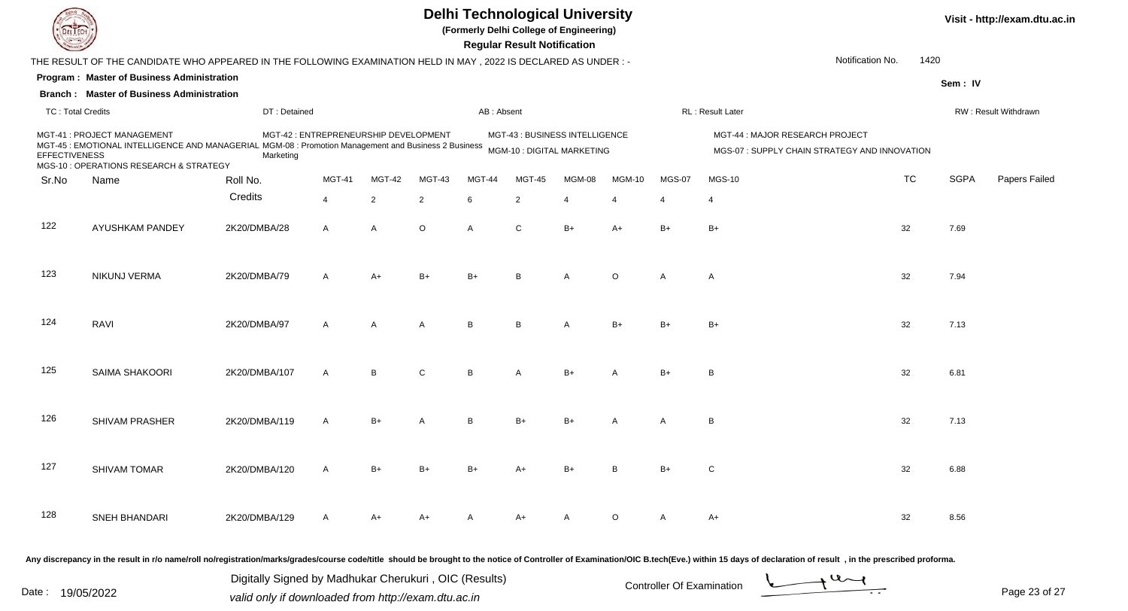

**(Formerly Delhi College of Engineering)**

 **Regular Result Notification**

| $\overline{\phantom{a}}$ |                                                                                                                |                                                       |                                       |              |                |                | <b>Allance Allen Income Incompose</b> |                                |                |                           |                                 |                                                                                                                                                                                                                                         |             |                      |
|--------------------------|----------------------------------------------------------------------------------------------------------------|-------------------------------------------------------|---------------------------------------|--------------|----------------|----------------|---------------------------------------|--------------------------------|----------------|---------------------------|---------------------------------|-----------------------------------------------------------------------------------------------------------------------------------------------------------------------------------------------------------------------------------------|-------------|----------------------|
|                          | THE RESULT OF THE CANDIDATE WHO APPEARED IN THE FOLLOWING EXAMINATION HELD IN MAY, 2022 IS DECLARED AS UNDER:- |                                                       |                                       |              |                |                |                                       |                                |                |                           |                                 | Notification No.<br>1420                                                                                                                                                                                                                |             |                      |
|                          | Program: Master of Business Administration                                                                     |                                                       |                                       |              |                |                |                                       |                                |                |                           |                                 |                                                                                                                                                                                                                                         | Sem: IV     |                      |
|                          | <b>Branch: Master of Business Administration</b>                                                               |                                                       |                                       |              |                |                |                                       |                                |                |                           |                                 |                                                                                                                                                                                                                                         |             |                      |
| <b>TC: Total Credits</b> |                                                                                                                | DT: Detained                                          |                                       |              |                | AB: Absent     |                                       |                                |                |                           | RL : Result Later               |                                                                                                                                                                                                                                         |             | RW: Result Withdrawn |
| <b>EFFECTIVENESS</b>     | MGT-41 : PROJECT MANAGEMENT<br>MGS-10 : OPERATIONS RESEARCH & STRATEGY                                         | Marketing                                             | MGT-42 : ENTREPRENEURSHIP DEVELOPMENT |              |                |                |                                       | MGT-43 : BUSINESS INTELLIGENCE |                |                           | MGT-44 : MAJOR RESEARCH PROJECT | MGS-07 : SUPPLY CHAIN STRATEGY AND INNOVATION                                                                                                                                                                                           |             |                      |
| Sr.No                    | Name                                                                                                           | Roll No.                                              | <b>MGT-41</b>                         | MGT-42       | MGT-43         | MGT-44         | <b>MGT-45</b>                         | MGM-08                         | <b>MGM-10</b>  | <b>MGS-07</b>             | <b>MGS-10</b>                   | <b>TC</b>                                                                                                                                                                                                                               | <b>SGPA</b> | Papers Failed        |
|                          |                                                                                                                | Credits                                               | $\overline{4}$                        | 2            | 2              | 6              | $\overline{2}$                        | $\overline{4}$                 | $\overline{4}$ | $\overline{4}$            | 4                               |                                                                                                                                                                                                                                         |             |                      |
| 122                      | AYUSHKAM PANDEY                                                                                                | 2K20/DMBA/28                                          | $\mathsf{A}$                          | $\mathsf{A}$ | $\circ$        | $\overline{A}$ | C                                     | $B+$                           | A+             | $B+$                      | $B+$                            | 32                                                                                                                                                                                                                                      | 7.69        |                      |
| 123                      | NIKUNJ VERMA                                                                                                   | 2K20/DMBA/79                                          | $\mathsf{A}$                          | A+           | $B+$           | $B+$           | B                                     | А                              | $\circ$        | A                         | $\mathsf{A}$                    | 32                                                                                                                                                                                                                                      | 7.94        |                      |
| 124                      | RAVI                                                                                                           | 2K20/DMBA/97                                          | $\mathsf{A}$                          | A            | $\overline{A}$ | B              | B                                     | A                              | $B+$           | $B+$                      | B+                              | 32                                                                                                                                                                                                                                      | 7.13        |                      |
| 125                      | SAIMA SHAKOORI                                                                                                 | 2K20/DMBA/107                                         | $\overline{A}$                        | B            | $\mathsf{C}$   | B              | A                                     | $B+$                           | А              | $B+$                      | B                               | 32                                                                                                                                                                                                                                      | 6.81        |                      |
| 126                      | <b>SHIVAM PRASHER</b>                                                                                          | 2K20/DMBA/119                                         | $\mathsf{A}$                          | $B+$         | $\overline{A}$ | B              | $B+$                                  | B+                             |                | A                         | B                               | 32                                                                                                                                                                                                                                      | 7.13        |                      |
| 127                      | <b>SHIVAM TOMAR</b>                                                                                            | 2K20/DMBA/120                                         | A                                     | $B+$         | B+             | B+             | A+                                    | B+                             | B              | $B+$                      | $\mathsf{C}$                    | 32                                                                                                                                                                                                                                      | 6.88        |                      |
| 128                      | SNEH BHANDARI                                                                                                  | 2K20/DMBA/129                                         | A                                     | A+           | A+             | Α              | A+                                    | A                              | O              | A                         | A+                              | 32                                                                                                                                                                                                                                      | 8.56        |                      |
|                          |                                                                                                                | Digitally Signed by Madhukar Cherukuri, OIC (Results) |                                       |              |                |                |                                       |                                |                | Controller Of Evemination |                                 | Any discrepancy in the result in r/o name/roll no/registration/marks/grades/course code/title should be brought to the notice of Controller of Examination/OIC B.tech(Eve.) within 15 days of declaration of result, in the pr<br>$-21$ |             |                      |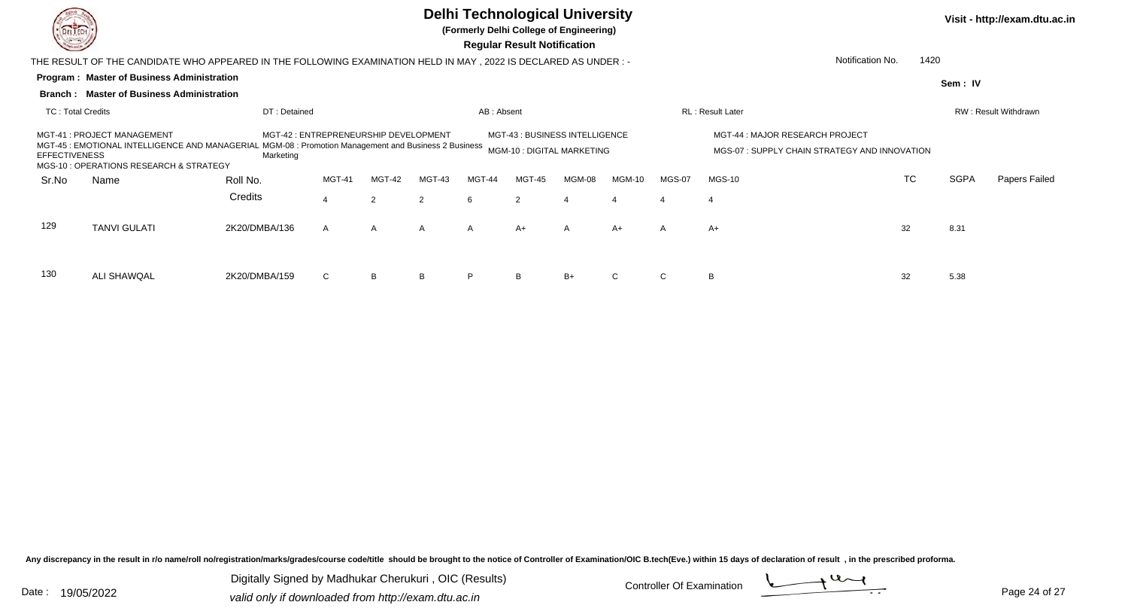

**(Formerly Delhi College of Engineering)**

 **Regular Result Notification**

|                      | THE RESULT OF THE CANDIDATE WHO APPEARED IN THE FOLLOWING EXAMINATION HELD IN MAY, 2022 IS DECLARED AS UNDER :-         |                                                                   |                                       |              |              |              |                                                              |               |                |              |                                                                                 | Notification No.<br>1420 |         |                      |
|----------------------|-------------------------------------------------------------------------------------------------------------------------|-------------------------------------------------------------------|---------------------------------------|--------------|--------------|--------------|--------------------------------------------------------------|---------------|----------------|--------------|---------------------------------------------------------------------------------|--------------------------|---------|----------------------|
|                      | <b>Program: Master of Business Administration</b>                                                                       |                                                                   |                                       |              |              |              |                                                              |               |                |              |                                                                                 |                          | Sem: IV |                      |
|                      | <b>Branch: Master of Business Administration</b>                                                                        |                                                                   |                                       |              |              |              |                                                              |               |                |              |                                                                                 |                          |         |                      |
| TC: Total Credits    |                                                                                                                         | DT: Detained                                                      |                                       |              |              | AB: Absent   |                                                              |               |                |              | RL: Result Later                                                                |                          |         | RW: Result Withdrawn |
| <b>EFFECTIVENESS</b> | MGT-41: PROJECT MANAGEMENT<br>MGT-45 : EMOTIONAL INTELLIGENCE AND MANAGERIAL<br>MGS-10 : OPERATIONS RESEARCH & STRATEGY | MGM-08: Promotion Management and Business 2 Business<br>Marketing | MGT-42 : ENTREPRENEURSHIP DEVELOPMENT |              |              |              | MGT-43 : BUSINESS INTELLIGENCE<br>MGM-10 : DIGITAL MARKETING |               |                |              | MGT-44 : MAJOR RESEARCH PROJECT<br>MGS-07: SUPPLY CHAIN STRATEGY AND INNOVATION |                          |         |                      |
| Sr.No                | Name                                                                                                                    | <b>MGT-42</b>                                                     | MGT-43                                | MGT-44       | MGT-45       | MGM-08       | <b>MGM-10</b>                                                | <b>MGS-07</b> | $MGS-10$       | <b>TC</b>    | <b>SGPA</b>                                                                     | Papers Failed            |         |                      |
|                      |                                                                                                                         | Credits                                                           | $\overline{4}$                        | 2            | 2            | 6            | 2                                                            | 4             | $\overline{4}$ |              | $\overline{4}$                                                                  |                          |         |                      |
| 129                  | <b>TANVI GULATI</b>                                                                                                     | 2K20/DMBA/136                                                     | $\mathsf{A}$                          | $\mathsf{A}$ | $\mathsf{A}$ | $\mathsf{A}$ | $A+$                                                         | $\mathsf{A}$  | $A+$           | $\mathsf{A}$ | $A+$                                                                            | 32                       | 8.31    |                      |
| 130                  | ALI SHAWQAL                                                                                                             | 2K20/DMBA/159                                                     | $\mathsf{C}$                          | B            | B            | P            | B                                                            | $B+$          | $\mathbf C$    | C.           | B                                                                               | 32                       | 5.38    |                      |

Any discrepancy in the result in r/o name/roll no/registration/marks/grades/course code/title should be brought to the notice of Controller of Examination/OIC B.tech(Eve.) within 15 days of declaration of result, in the pr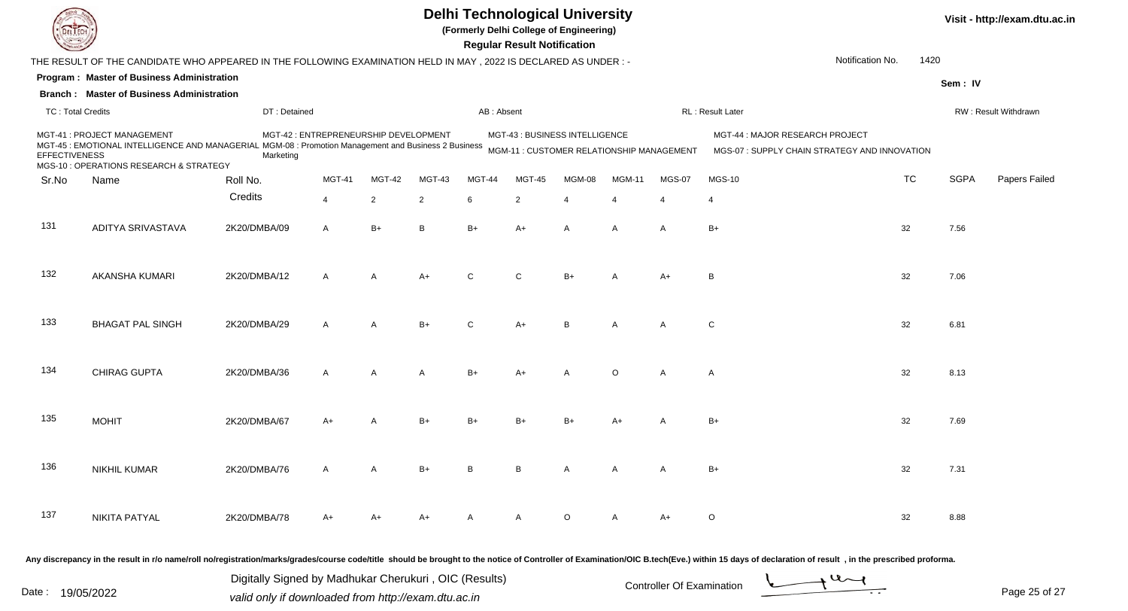| DEL ECI                  |                                                                                                                                                                                                                                |              |                                       |                |                |              | <b>Regular Result Notification</b> | <b>Delhi Technological University</b><br>(Formerly Delhi College of Engineering) |                |                |                                                                                  |                  |      |             | Visit - http://exam.dtu.ac.in |
|--------------------------|--------------------------------------------------------------------------------------------------------------------------------------------------------------------------------------------------------------------------------|--------------|---------------------------------------|----------------|----------------|--------------|------------------------------------|----------------------------------------------------------------------------------|----------------|----------------|----------------------------------------------------------------------------------|------------------|------|-------------|-------------------------------|
|                          | THE RESULT OF THE CANDIDATE WHO APPEARED IN THE FOLLOWING EXAMINATION HELD IN MAY, 2022 IS DECLARED AS UNDER :-                                                                                                                |              |                                       |                |                |              |                                    |                                                                                  |                |                |                                                                                  | Notification No. | 1420 |             |                               |
|                          | Program: Master of Business Administration                                                                                                                                                                                     |              |                                       |                |                |              |                                    |                                                                                  |                |                |                                                                                  |                  |      | Sem: IV     |                               |
|                          | <b>Branch: Master of Business Administration</b>                                                                                                                                                                               |              |                                       |                |                |              |                                    |                                                                                  |                |                |                                                                                  |                  |      |             |                               |
| <b>TC: Total Credits</b> |                                                                                                                                                                                                                                | DT: Detained |                                       |                |                | AB: Absent   |                                    |                                                                                  |                |                | RL: Result Later                                                                 |                  |      |             | RW: Result Withdrawn          |
| <b>EFFECTIVENESS</b>     | MGT-41 : PROJECT MANAGEMENT<br>MGT-45 : EMOTIONAL INTELLIGENCE AND MANAGERIAL MGM-08 : Promotion Management and Business 2 Business<br>MGS-10 : OPERATIONS RESEARCH & STRATEGY                                                 | Marketing    | MGT-42 : ENTREPRENEURSHIP DEVELOPMENT |                |                |              |                                    | MGT-43 : BUSINESS INTELLIGENCE<br>MGM-11 : CUSTOMER RELATIONSHIP MANAGEMENT      |                |                | MGT-44 : MAJOR RESEARCH PROJECT<br>MGS-07 : SUPPLY CHAIN STRATEGY AND INNOVATION |                  |      |             |                               |
| Sr.No                    | Name                                                                                                                                                                                                                           | Roll No.     | MGT-41                                | MGT-42         | MGT-43         | MGT-44       | <b>MGT-45</b>                      | MGM-08                                                                           | <b>MGM-11</b>  | <b>MGS-07</b>  | <b>MGS-10</b>                                                                    |                  | TC   | <b>SGPA</b> | Papers Failed                 |
|                          |                                                                                                                                                                                                                                | Credits      | 4                                     | $\overline{2}$ | $\overline{2}$ | 6            | $\overline{2}$                     | $\overline{4}$                                                                   | $\overline{4}$ | $\overline{4}$ | $\overline{4}$                                                                   |                  |      |             |                               |
| 131                      | ADITYA SRIVASTAVA                                                                                                                                                                                                              | 2K20/DMBA/09 | $\mathsf{A}$                          | $B+$           | B              | $B+$         | A+                                 | A                                                                                | A              | A              | $B+$                                                                             | 32               |      | 7.56        |                               |
| 132                      | <b>AKANSHA KUMARI</b>                                                                                                                                                                                                          | 2K20/DMBA/12 | $\overline{A}$                        | A              | $A+$           | $\mathsf{C}$ | $\mathsf{C}$                       | $B+$                                                                             | A              | $A+$           | B                                                                                | 32               |      | 7.06        |                               |
| 133                      | <b>BHAGAT PAL SINGH</b>                                                                                                                                                                                                        | 2K20/DMBA/29 | $\overline{A}$                        | $\overline{A}$ | $B+$           | $\mathbf{C}$ | $A+$                               | B                                                                                | A              | A              | $\mathsf{C}$                                                                     | 32               |      | 6.81        |                               |
| 134                      | CHIRAG GUPTA                                                                                                                                                                                                                   | 2K20/DMBA/36 | A                                     | A              | A              | $B+$         | A+                                 | $\overline{A}$                                                                   | $\circ$        | A              | $\mathsf{A}$                                                                     | 32               |      | 8.13        |                               |
| 135                      | <b>MOHIT</b>                                                                                                                                                                                                                   | 2K20/DMBA/67 | A+                                    | A              | $B+$           |              |                                    | $B+$                                                                             |                | A              | $B+$                                                                             | 32               |      | 7.69        |                               |
| 136                      | NIKHIL KUMAR                                                                                                                                                                                                                   | 2K20/DMBA/76 | A                                     | A              | $B+$           | B            | B                                  | $\overline{A}$                                                                   | A              | A              | B+                                                                               | 32               |      | 7.31        |                               |
| 137                      | NIKITA PATYAL                                                                                                                                                                                                                  | 2K20/DMBA/78 | A+                                    | $A+$           | A+             | A            | $\mathsf{A}$                       | $\circ$                                                                          | A              | A+             | $\circ$                                                                          | 32               |      | 8.88        |                               |
|                          | Any discrepancy in the result in r/o name/roll no/registration/marks/grades/course code/title should be brought to the notice of Controller of Examination/OIC B.tech(Eve.) within 15 days of declaration of result , in the p |              |                                       |                |                |              |                                    |                                                                                  |                |                |                                                                                  |                  |      |             |                               |

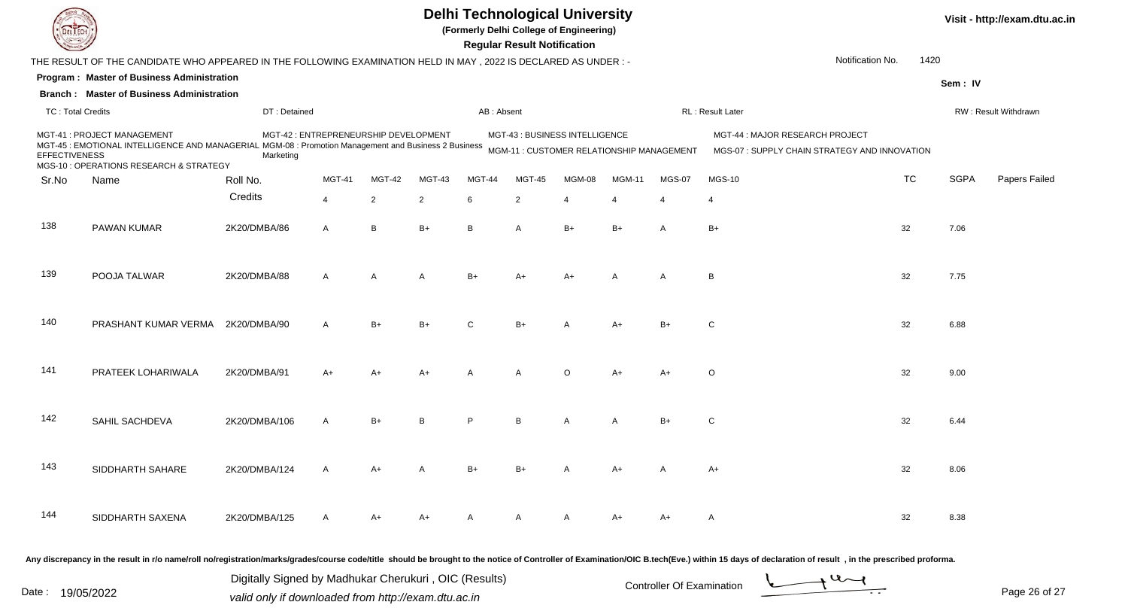| EL I EC                  |                                                                                                                                                                                                                                |               |                                       |                |                |            | <b>Regular Result Notification</b> | <b>Delhi Technological University</b><br>(Formerly Delhi College of Engineering) |               |                       |                                                                                  |                  |           |             | Visit - http://exam.dtu.ac.in |
|--------------------------|--------------------------------------------------------------------------------------------------------------------------------------------------------------------------------------------------------------------------------|---------------|---------------------------------------|----------------|----------------|------------|------------------------------------|----------------------------------------------------------------------------------|---------------|-----------------------|----------------------------------------------------------------------------------|------------------|-----------|-------------|-------------------------------|
|                          | THE RESULT OF THE CANDIDATE WHO APPEARED IN THE FOLLOWING EXAMINATION HELD IN MAY, 2022 IS DECLARED AS UNDER :-                                                                                                                |               |                                       |                |                |            |                                    |                                                                                  |               |                       |                                                                                  | Notification No. | 1420      |             |                               |
|                          | Program: Master of Business Administration                                                                                                                                                                                     |               |                                       |                |                |            |                                    |                                                                                  |               |                       |                                                                                  |                  |           | Sem: IV     |                               |
|                          | <b>Branch: Master of Business Administration</b>                                                                                                                                                                               |               |                                       |                |                |            |                                    |                                                                                  |               |                       |                                                                                  |                  |           |             |                               |
| <b>TC: Total Credits</b> |                                                                                                                                                                                                                                | DT: Detained  |                                       |                |                | AB: Absent |                                    |                                                                                  |               |                       | RL: Result Later                                                                 |                  |           |             | RW: Result Withdrawn          |
| <b>EFFECTIVENESS</b>     | MGT-41 : PROJECT MANAGEMENT<br>MGT-45 : EMOTIONAL INTELLIGENCE AND MANAGERIAL MGM-08 : Promotion Management and Business 2 Business<br>MGS-10 : OPERATIONS RESEARCH & STRATEGY                                                 | Marketing     | MGT-42 : ENTREPRENEURSHIP DEVELOPMENT |                |                |            |                                    | MGT-43 : BUSINESS INTELLIGENCE<br>MGM-11 : CUSTOMER RELATIONSHIP MANAGEMENT      |               |                       | MGT-44 : MAJOR RESEARCH PROJECT<br>MGS-07 : SUPPLY CHAIN STRATEGY AND INNOVATION |                  |           |             |                               |
| Sr.No                    | Name                                                                                                                                                                                                                           | Roll No.      | MGT-41                                | MGT-42         | MGT-43         | MGT-44     | <b>MGT-45</b>                      | MGM-08                                                                           | <b>MGM-11</b> | MGS-07                | <b>MGS-10</b>                                                                    |                  | <b>TC</b> | <b>SGPA</b> | Papers Failed                 |
|                          |                                                                                                                                                                                                                                | Credits       | $\overline{4}$                        | $\overline{2}$ | $\overline{2}$ | 6          | $\overline{2}$                     | $\overline{4}$                                                                   | 4             | $\boldsymbol{\Delta}$ | -4                                                                               |                  |           |             |                               |
| 138                      | PAWAN KUMAR                                                                                                                                                                                                                    | 2K20/DMBA/86  | $\mathsf{A}$                          | B              | $B+$           | B          | A                                  | $B+$                                                                             | $B+$          | A                     | $B+$                                                                             |                  | 32        | 7.06        |                               |
| 139                      | POOJA TALWAR                                                                                                                                                                                                                   | 2K20/DMBA/88  | $\mathsf{A}$                          | $\overline{A}$ | A              | $B+$       | A+                                 | $A+$                                                                             | A             | A                     | B                                                                                |                  | 32        | 7.75        |                               |
| 140                      | PRASHANT KUMAR VERMA                                                                                                                                                                                                           | 2K20/DMBA/90  | $\mathsf{A}$                          | $B+$           | $B+$           | C          | $B+$                               | А                                                                                | A+            | $B+$                  | C                                                                                |                  | 32        | 6.88        |                               |
| 141                      | PRATEEK LOHARIWALA                                                                                                                                                                                                             | 2K20/DMBA/91  | A+                                    | $A+$           | A+             | Α          | A                                  | $\circ$                                                                          | $A+$          | A+                    | $\circ$                                                                          |                  | 32        | 9.00        |                               |
| 142                      | SAHIL SACHDEVA                                                                                                                                                                                                                 | 2K20/DMBA/106 | A                                     | B+             |                | P          | B                                  | A                                                                                |               | $B+$                  | C                                                                                |                  | 32        | 6.44        |                               |
| 143                      | SIDDHARTH SAHARE                                                                                                                                                                                                               | 2K20/DMBA/124 | A                                     | A+             |                | $B+$       | B+                                 | A                                                                                | A+            | A                     | $A+$                                                                             |                  | 32        | 8.06        |                               |
| 144                      | SIDDHARTH SAXENA                                                                                                                                                                                                               | 2K20/DMBA/125 | A                                     | A+             | A+             | A          | A                                  | A                                                                                | A+            | A+                    | A                                                                                |                  | 32        | 8.38        |                               |
|                          | Any discrepancy in the result in r/o name/roll no/registration/marks/grades/course code/title should be brought to the notice of Controller of Examination/OIC B.tech(Eve.) within 15 days of declaration of result , in the p |               |                                       |                |                |            |                                    |                                                                                  |               |                       |                                                                                  |                  |           |             |                               |